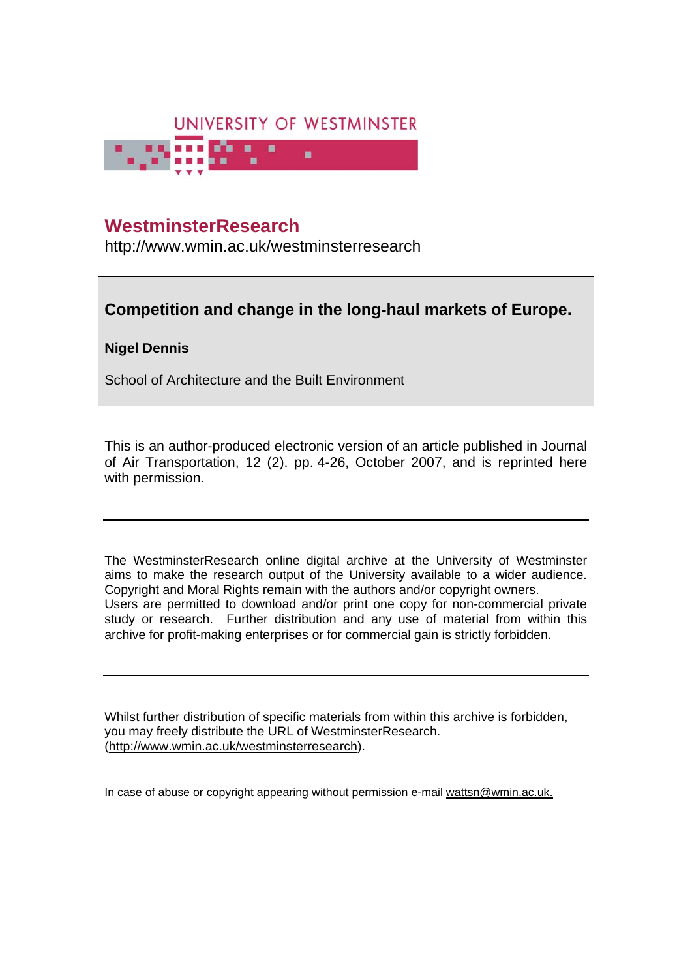

### **WestminsterResearch**

http://www.wmin.ac.uk/westminsterresearch

### **Competition and change in the long-haul markets of Europe.**

### **Nigel Dennis**

School of Architecture and the Built Environment

This is an author-produced electronic version of an article published in Journal of Air Transportation, 12 (2). pp. 4-26, October 2007, and is reprinted here with permission.

The WestminsterResearch online digital archive at the University of Westminster aims to make the research output of the University available to a wider audience. Copyright and Moral Rights remain with the authors and/or copyright owners. Users are permitted to download and/or print one copy for non-commercial private study or research. Further distribution and any use of material from within this archive for profit-making enterprises or for commercial gain is strictly forbidden.

Whilst further distribution of specific materials from within this archive is forbidden, you may freely distribute the URL of WestminsterResearch. (http://www.wmin.ac.uk/westminsterresearch).

In case of abuse or copyright appearing without permission e-mail wattsn@wmin.ac.uk.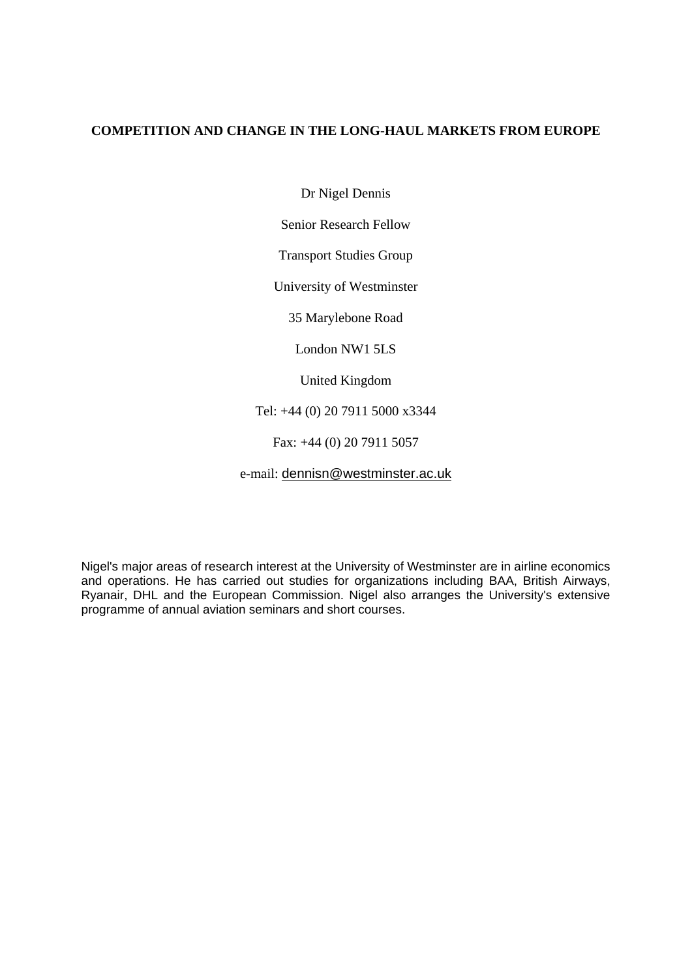#### **COMPETITION AND CHANGE IN THE LONG-HAUL MARKETS FROM EUROPE**

Dr Nigel Dennis

Senior Research Fellow

Transport Studies Group

University of Westminster

35 Marylebone Road

London NW1 5LS

United Kingdom

Tel: +44 (0) 20 7911 5000 x3344

Fax: +44 (0) 20 7911 5057

e-mail: dennisn@westminster.ac.uk

Nigel's major areas of research interest at the University of Westminster are in airline economics and operations. He has carried out studies for organizations including BAA, British Airways, Ryanair, DHL and the European Commission. Nigel also arranges the University's extensive programme of annual aviation seminars and short courses.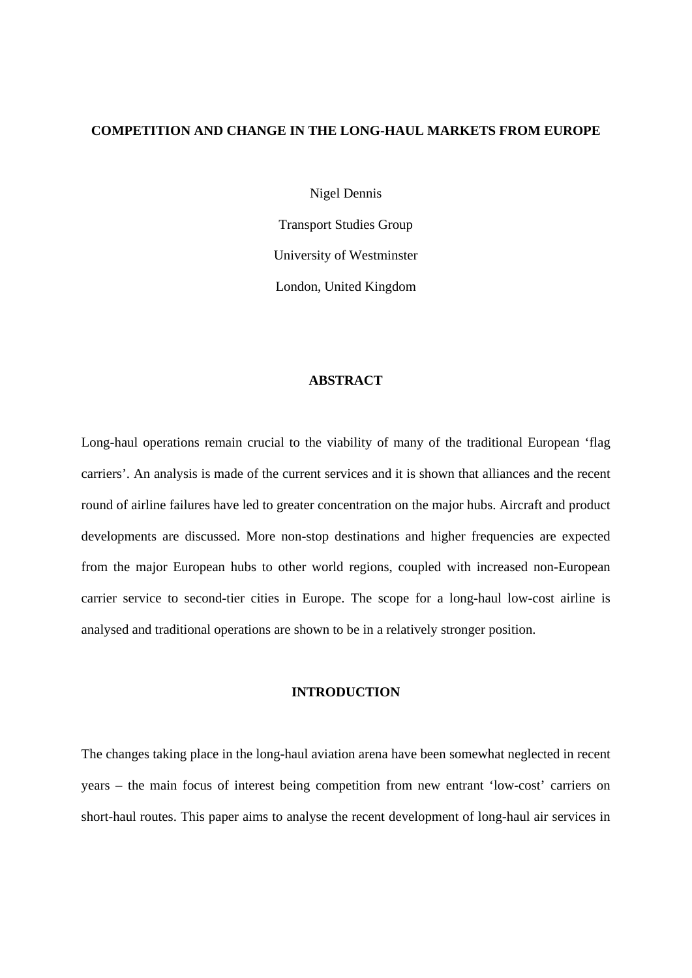#### **COMPETITION AND CHANGE IN THE LONG-HAUL MARKETS FROM EUROPE**

Nigel Dennis

Transport Studies Group University of Westminster London, United Kingdom

#### **ABSTRACT**

Long-haul operations remain crucial to the viability of many of the traditional European 'flag carriers'. An analysis is made of the current services and it is shown that alliances and the recent round of airline failures have led to greater concentration on the major hubs. Aircraft and product developments are discussed. More non-stop destinations and higher frequencies are expected from the major European hubs to other world regions, coupled with increased non-European carrier service to second-tier cities in Europe. The scope for a long-haul low-cost airline is analysed and traditional operations are shown to be in a relatively stronger position.

#### **INTRODUCTION**

The changes taking place in the long-haul aviation arena have been somewhat neglected in recent years – the main focus of interest being competition from new entrant 'low-cost' carriers on short-haul routes. This paper aims to analyse the recent development of long-haul air services in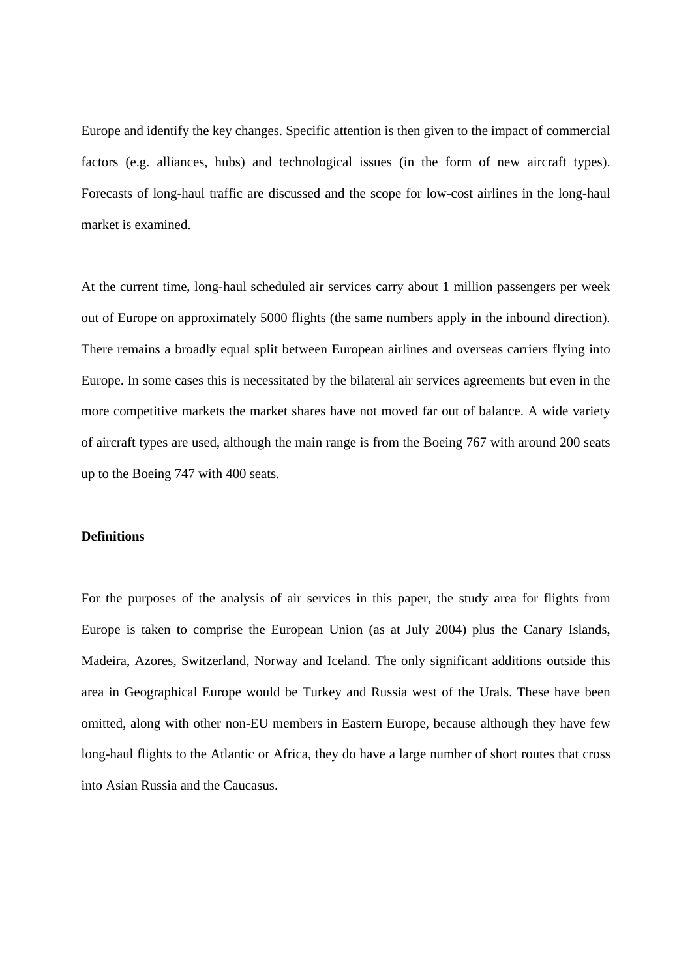Europe and identify the key changes. Specific attention is then given to the impact of commercial factors (e.g. alliances, hubs) and technological issues (in the form of new aircraft types). Forecasts of long-haul traffic are discussed and the scope for low-cost airlines in the long-haul market is examined.

At the current time, long-haul scheduled air services carry about 1 million passengers per week out of Europe on approximately 5000 flights (the same numbers apply in the inbound direction). There remains a broadly equal split between European airlines and overseas carriers flying into Europe. In some cases this is necessitated by the bilateral air services agreements but even in the more competitive markets the market shares have not moved far out of balance. A wide variety of aircraft types are used, although the main range is from the Boeing 767 with around 200 seats up to the Boeing 747 with 400 seats.

#### **Definitions**

For the purposes of the analysis of air services in this paper, the study area for flights from Europe is taken to comprise the European Union (as at July 2004) plus the Canary Islands, Madeira, Azores, Switzerland, Norway and Iceland. The only significant additions outside this area in Geographical Europe would be Turkey and Russia west of the Urals. These have been omitted, along with other non-EU members in Eastern Europe, because although they have few long-haul flights to the Atlantic or Africa, they do have a large number of short routes that cross into Asian Russia and the Caucasus.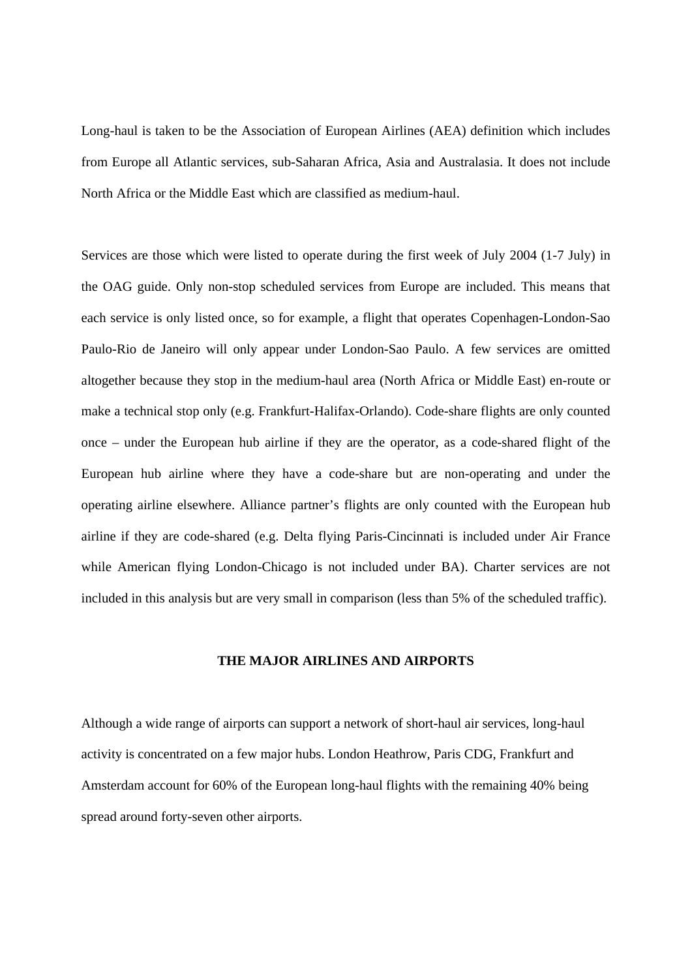Long-haul is taken to be the Association of European Airlines (AEA) definition which includes from Europe all Atlantic services, sub-Saharan Africa, Asia and Australasia. It does not include North Africa or the Middle East which are classified as medium-haul.

Services are those which were listed to operate during the first week of July 2004 (1-7 July) in the OAG guide. Only non-stop scheduled services from Europe are included. This means that each service is only listed once, so for example, a flight that operates Copenhagen-London-Sao Paulo-Rio de Janeiro will only appear under London-Sao Paulo. A few services are omitted altogether because they stop in the medium-haul area (North Africa or Middle East) en-route or make a technical stop only (e.g. Frankfurt-Halifax-Orlando). Code-share flights are only counted once – under the European hub airline if they are the operator, as a code-shared flight of the European hub airline where they have a code-share but are non-operating and under the operating airline elsewhere. Alliance partner's flights are only counted with the European hub airline if they are code-shared (e.g. Delta flying Paris-Cincinnati is included under Air France while American flying London-Chicago is not included under BA). Charter services are not included in this analysis but are very small in comparison (less than 5% of the scheduled traffic).

#### **THE MAJOR AIRLINES AND AIRPORTS**

Although a wide range of airports can support a network of short-haul air services, long-haul activity is concentrated on a few major hubs. London Heathrow, Paris CDG, Frankfurt and Amsterdam account for 60% of the European long-haul flights with the remaining 40% being spread around forty-seven other airports.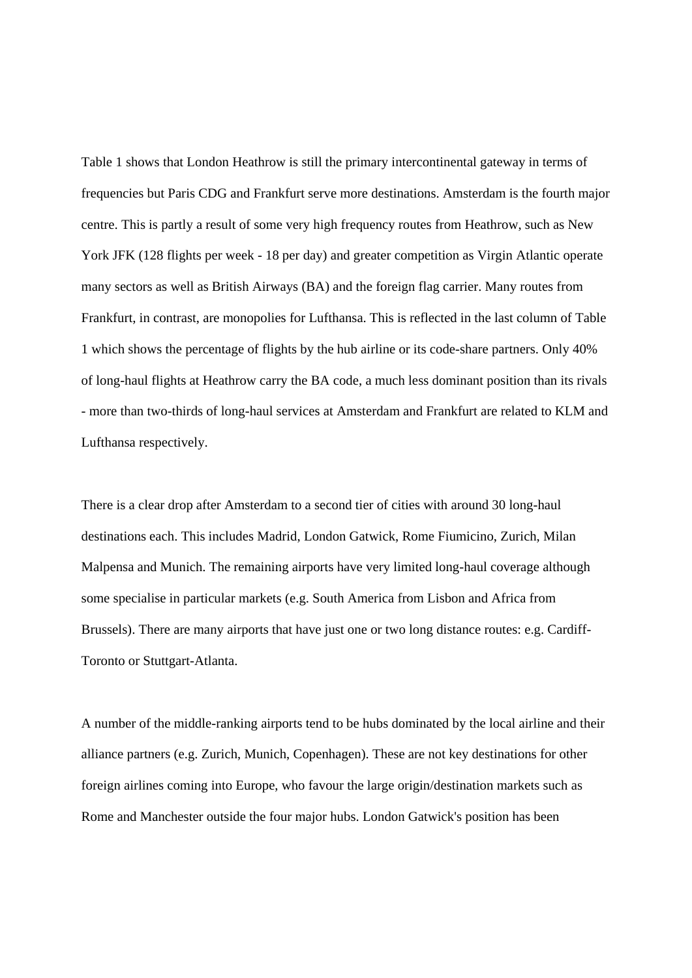Table 1 shows that London Heathrow is still the primary intercontinental gateway in terms of frequencies but Paris CDG and Frankfurt serve more destinations. Amsterdam is the fourth major centre. This is partly a result of some very high frequency routes from Heathrow, such as New York JFK (128 flights per week - 18 per day) and greater competition as Virgin Atlantic operate many sectors as well as British Airways (BA) and the foreign flag carrier. Many routes from Frankfurt, in contrast, are monopolies for Lufthansa. This is reflected in the last column of Table 1 which shows the percentage of flights by the hub airline or its code-share partners. Only 40% of long-haul flights at Heathrow carry the BA code, a much less dominant position than its rivals - more than two-thirds of long-haul services at Amsterdam and Frankfurt are related to KLM and Lufthansa respectively.

There is a clear drop after Amsterdam to a second tier of cities with around 30 long-haul destinations each. This includes Madrid, London Gatwick, Rome Fiumicino, Zurich, Milan Malpensa and Munich. The remaining airports have very limited long-haul coverage although some specialise in particular markets (e.g. South America from Lisbon and Africa from Brussels). There are many airports that have just one or two long distance routes: e.g. Cardiff-Toronto or Stuttgart-Atlanta.

A number of the middle-ranking airports tend to be hubs dominated by the local airline and their alliance partners (e.g. Zurich, Munich, Copenhagen). These are not key destinations for other foreign airlines coming into Europe, who favour the large origin/destination markets such as Rome and Manchester outside the four major hubs. London Gatwick's position has been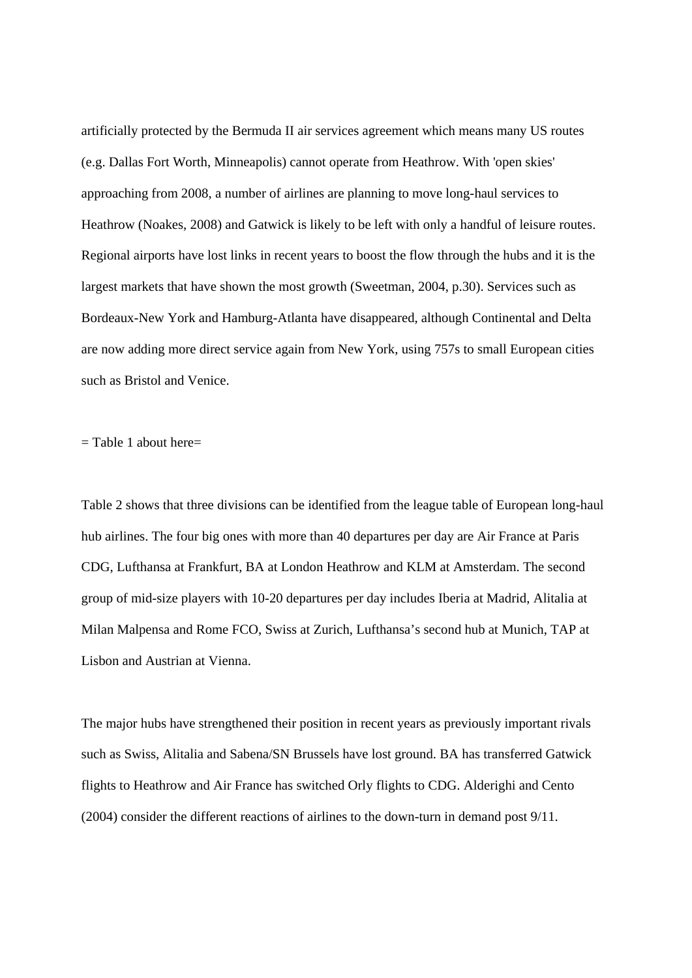artificially protected by the Bermuda II air services agreement which means many US routes (e.g. Dallas Fort Worth, Minneapolis) cannot operate from Heathrow. With 'open skies' approaching from 2008, a number of airlines are planning to move long-haul services to Heathrow (Noakes, 2008) and Gatwick is likely to be left with only a handful of leisure routes. Regional airports have lost links in recent years to boost the flow through the hubs and it is the largest markets that have shown the most growth (Sweetman, 2004, p.30). Services such as Bordeaux-New York and Hamburg-Atlanta have disappeared, although Continental and Delta are now adding more direct service again from New York, using 757s to small European cities such as Bristol and Venice.

 $=$  Table 1 about here $=$ 

Table 2 shows that three divisions can be identified from the league table of European long-haul hub airlines. The four big ones with more than 40 departures per day are Air France at Paris CDG, Lufthansa at Frankfurt, BA at London Heathrow and KLM at Amsterdam. The second group of mid-size players with 10-20 departures per day includes Iberia at Madrid, Alitalia at Milan Malpensa and Rome FCO, Swiss at Zurich, Lufthansa's second hub at Munich, TAP at Lisbon and Austrian at Vienna.

The major hubs have strengthened their position in recent years as previously important rivals such as Swiss, Alitalia and Sabena/SN Brussels have lost ground. BA has transferred Gatwick flights to Heathrow and Air France has switched Orly flights to CDG. Alderighi and Cento (2004) consider the different reactions of airlines to the down-turn in demand post 9/11.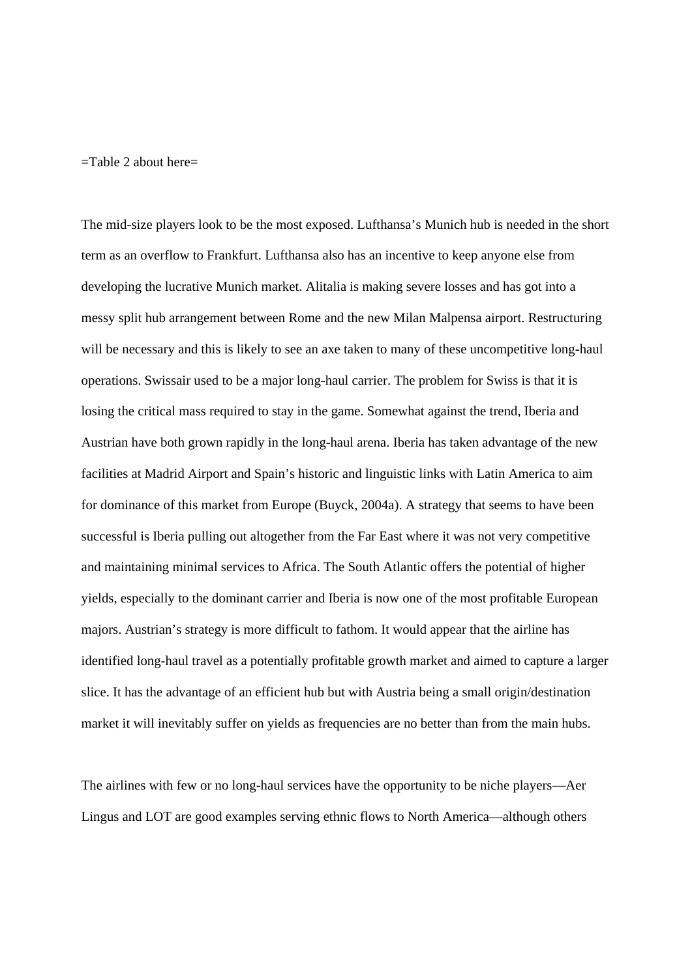$=$ Table 2 about here $=$ 

The mid-size players look to be the most exposed. Lufthansa's Munich hub is needed in the short term as an overflow to Frankfurt. Lufthansa also has an incentive to keep anyone else from developing the lucrative Munich market. Alitalia is making severe losses and has got into a messy split hub arrangement between Rome and the new Milan Malpensa airport. Restructuring will be necessary and this is likely to see an axe taken to many of these uncompetitive long-haul operations. Swissair used to be a major long-haul carrier. The problem for Swiss is that it is losing the critical mass required to stay in the game. Somewhat against the trend, Iberia and Austrian have both grown rapidly in the long-haul arena. Iberia has taken advantage of the new facilities at Madrid Airport and Spain's historic and linguistic links with Latin America to aim for dominance of this market from Europe (Buyck, 2004a). A strategy that seems to have been successful is Iberia pulling out altogether from the Far East where it was not very competitive and maintaining minimal services to Africa. The South Atlantic offers the potential of higher yields, especially to the dominant carrier and Iberia is now one of the most profitable European majors. Austrian's strategy is more difficult to fathom. It would appear that the airline has identified long-haul travel as a potentially profitable growth market and aimed to capture a larger slice. It has the advantage of an efficient hub but with Austria being a small origin/destination market it will inevitably suffer on yields as frequencies are no better than from the main hubs.

The airlines with few or no long-haul services have the opportunity to be niche players—Aer Lingus and LOT are good examples serving ethnic flows to North America—although others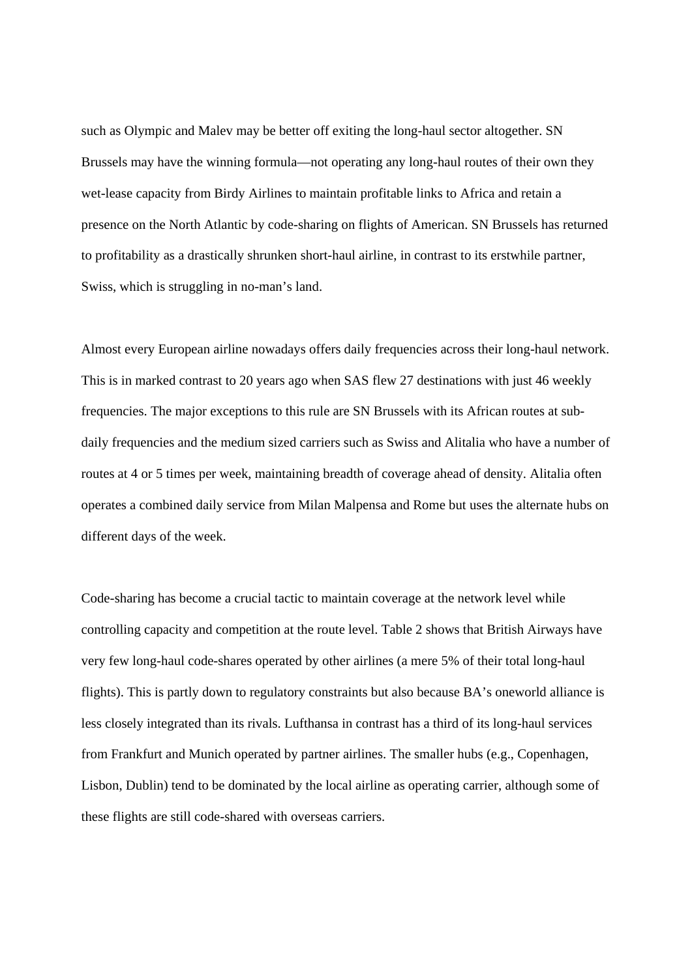such as Olympic and Malev may be better off exiting the long-haul sector altogether. SN Brussels may have the winning formula—not operating any long-haul routes of their own they wet-lease capacity from Birdy Airlines to maintain profitable links to Africa and retain a presence on the North Atlantic by code-sharing on flights of American. SN Brussels has returned to profitability as a drastically shrunken short-haul airline, in contrast to its erstwhile partner, Swiss, which is struggling in no-man's land.

Almost every European airline nowadays offers daily frequencies across their long-haul network. This is in marked contrast to 20 years ago when SAS flew 27 destinations with just 46 weekly frequencies. The major exceptions to this rule are SN Brussels with its African routes at subdaily frequencies and the medium sized carriers such as Swiss and Alitalia who have a number of routes at 4 or 5 times per week, maintaining breadth of coverage ahead of density. Alitalia often operates a combined daily service from Milan Malpensa and Rome but uses the alternate hubs on different days of the week.

Code-sharing has become a crucial tactic to maintain coverage at the network level while controlling capacity and competition at the route level. Table 2 shows that British Airways have very few long-haul code-shares operated by other airlines (a mere 5% of their total long-haul flights). This is partly down to regulatory constraints but also because BA's oneworld alliance is less closely integrated than its rivals. Lufthansa in contrast has a third of its long-haul services from Frankfurt and Munich operated by partner airlines. The smaller hubs (e.g., Copenhagen, Lisbon, Dublin) tend to be dominated by the local airline as operating carrier, although some of these flights are still code-shared with overseas carriers.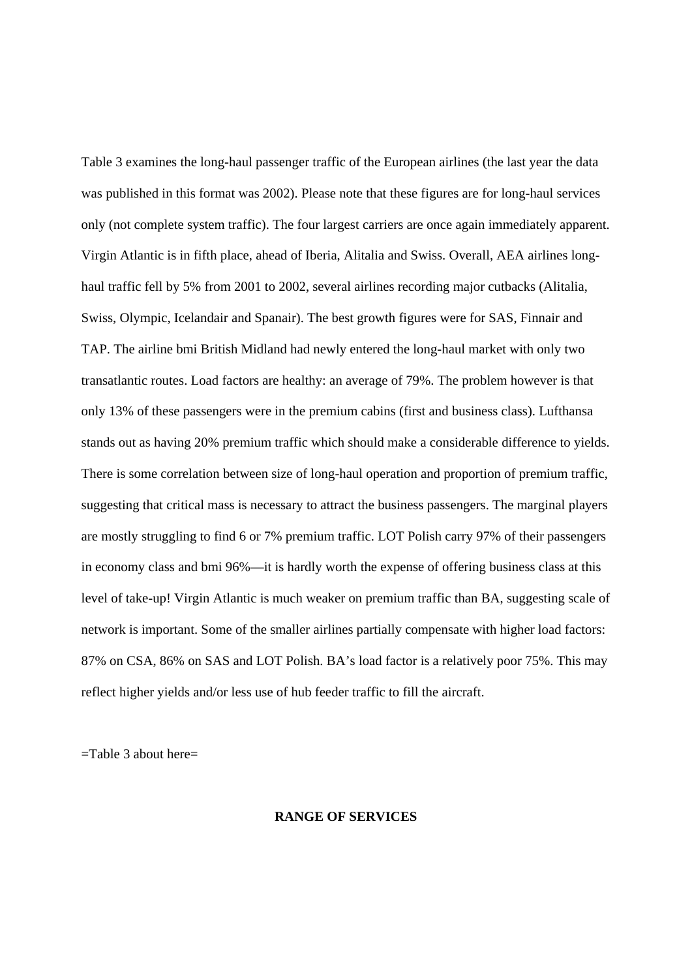Table 3 examines the long-haul passenger traffic of the European airlines (the last year the data was published in this format was 2002). Please note that these figures are for long-haul services only (not complete system traffic). The four largest carriers are once again immediately apparent. Virgin Atlantic is in fifth place, ahead of Iberia, Alitalia and Swiss. Overall, AEA airlines longhaul traffic fell by 5% from 2001 to 2002, several airlines recording major cutbacks (Alitalia, Swiss, Olympic, Icelandair and Spanair). The best growth figures were for SAS, Finnair and TAP. The airline bmi British Midland had newly entered the long-haul market with only two transatlantic routes. Load factors are healthy: an average of 79%. The problem however is that only 13% of these passengers were in the premium cabins (first and business class). Lufthansa stands out as having 20% premium traffic which should make a considerable difference to yields. There is some correlation between size of long-haul operation and proportion of premium traffic, suggesting that critical mass is necessary to attract the business passengers. The marginal players are mostly struggling to find 6 or 7% premium traffic. LOT Polish carry 97% of their passengers in economy class and bmi 96%—it is hardly worth the expense of offering business class at this level of take-up! Virgin Atlantic is much weaker on premium traffic than BA, suggesting scale of network is important. Some of the smaller airlines partially compensate with higher load factors: 87% on CSA, 86% on SAS and LOT Polish. BA's load factor is a relatively poor 75%. This may reflect higher yields and/or less use of hub feeder traffic to fill the aircraft.

=Table 3 about here=

#### **RANGE OF SERVICES**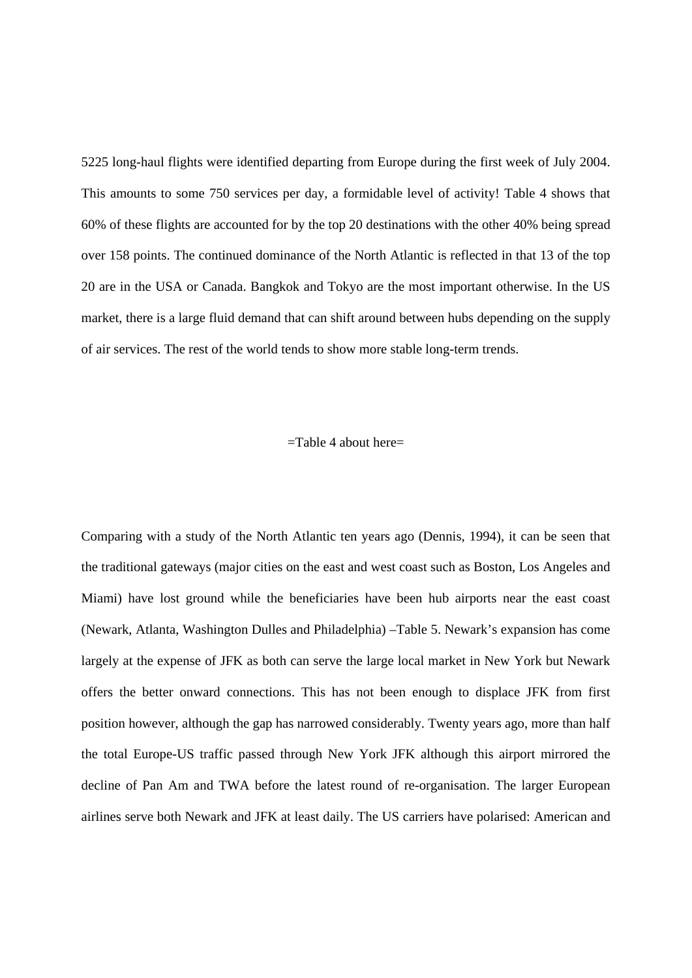5225 long-haul flights were identified departing from Europe during the first week of July 2004. This amounts to some 750 services per day, a formidable level of activity! Table 4 shows that 60% of these flights are accounted for by the top 20 destinations with the other 40% being spread over 158 points. The continued dominance of the North Atlantic is reflected in that 13 of the top 20 are in the USA or Canada. Bangkok and Tokyo are the most important otherwise. In the US market, there is a large fluid demand that can shift around between hubs depending on the supply of air services. The rest of the world tends to show more stable long-term trends.

#### $=$ Table 4 about here $=$

Comparing with a study of the North Atlantic ten years ago (Dennis, 1994), it can be seen that the traditional gateways (major cities on the east and west coast such as Boston, Los Angeles and Miami) have lost ground while the beneficiaries have been hub airports near the east coast (Newark, Atlanta, Washington Dulles and Philadelphia) –Table 5. Newark's expansion has come largely at the expense of JFK as both can serve the large local market in New York but Newark offers the better onward connections. This has not been enough to displace JFK from first position however, although the gap has narrowed considerably. Twenty years ago, more than half the total Europe-US traffic passed through New York JFK although this airport mirrored the decline of Pan Am and TWA before the latest round of re-organisation. The larger European airlines serve both Newark and JFK at least daily. The US carriers have polarised: American and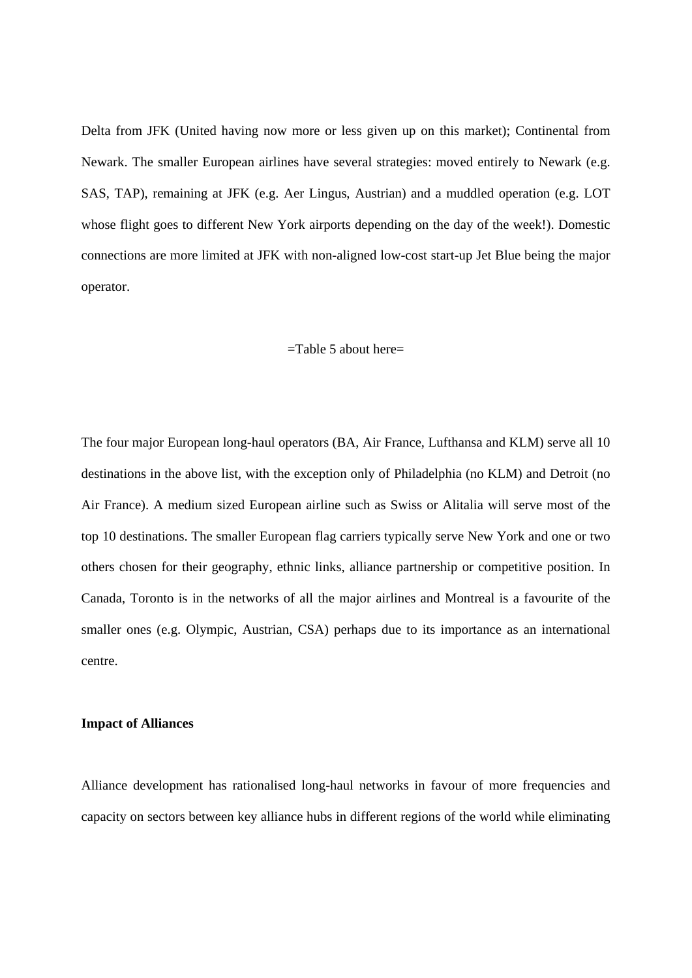Delta from JFK (United having now more or less given up on this market); Continental from Newark. The smaller European airlines have several strategies: moved entirely to Newark (e.g. SAS, TAP), remaining at JFK (e.g. Aer Lingus, Austrian) and a muddled operation (e.g. LOT whose flight goes to different New York airports depending on the day of the week!). Domestic connections are more limited at JFK with non-aligned low-cost start-up Jet Blue being the major operator.

#### $=$ Table 5 about here $=$

The four major European long-haul operators (BA, Air France, Lufthansa and KLM) serve all 10 destinations in the above list, with the exception only of Philadelphia (no KLM) and Detroit (no Air France). A medium sized European airline such as Swiss or Alitalia will serve most of the top 10 destinations. The smaller European flag carriers typically serve New York and one or two others chosen for their geography, ethnic links, alliance partnership or competitive position. In Canada, Toronto is in the networks of all the major airlines and Montreal is a favourite of the smaller ones (e.g. Olympic, Austrian, CSA) perhaps due to its importance as an international centre.

#### **Impact of Alliances**

Alliance development has rationalised long-haul networks in favour of more frequencies and capacity on sectors between key alliance hubs in different regions of the world while eliminating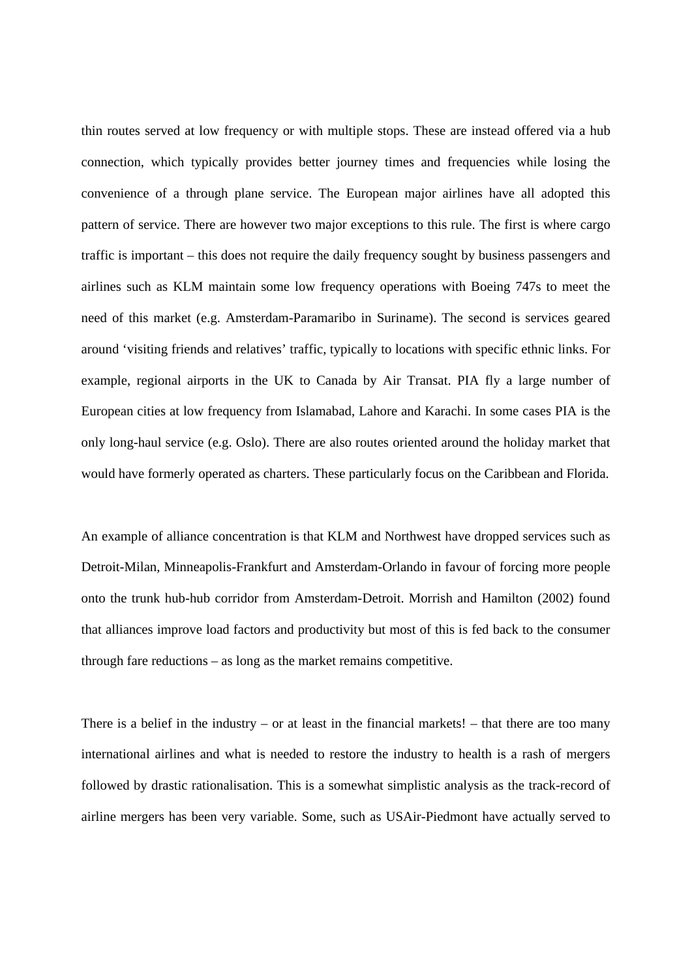thin routes served at low frequency or with multiple stops. These are instead offered via a hub connection, which typically provides better journey times and frequencies while losing the convenience of a through plane service. The European major airlines have all adopted this pattern of service. There are however two major exceptions to this rule. The first is where cargo traffic is important – this does not require the daily frequency sought by business passengers and airlines such as KLM maintain some low frequency operations with Boeing 747s to meet the need of this market (e.g. Amsterdam-Paramaribo in Suriname). The second is services geared around 'visiting friends and relatives' traffic, typically to locations with specific ethnic links. For example, regional airports in the UK to Canada by Air Transat. PIA fly a large number of European cities at low frequency from Islamabad, Lahore and Karachi. In some cases PIA is the only long-haul service (e.g. Oslo). There are also routes oriented around the holiday market that would have formerly operated as charters. These particularly focus on the Caribbean and Florida.

An example of alliance concentration is that KLM and Northwest have dropped services such as Detroit-Milan, Minneapolis-Frankfurt and Amsterdam-Orlando in favour of forcing more people onto the trunk hub-hub corridor from Amsterdam-Detroit. Morrish and Hamilton (2002) found that alliances improve load factors and productivity but most of this is fed back to the consumer through fare reductions – as long as the market remains competitive.

There is a belief in the industry – or at least in the financial markets! – that there are too many international airlines and what is needed to restore the industry to health is a rash of mergers followed by drastic rationalisation. This is a somewhat simplistic analysis as the track-record of airline mergers has been very variable. Some, such as USAir-Piedmont have actually served to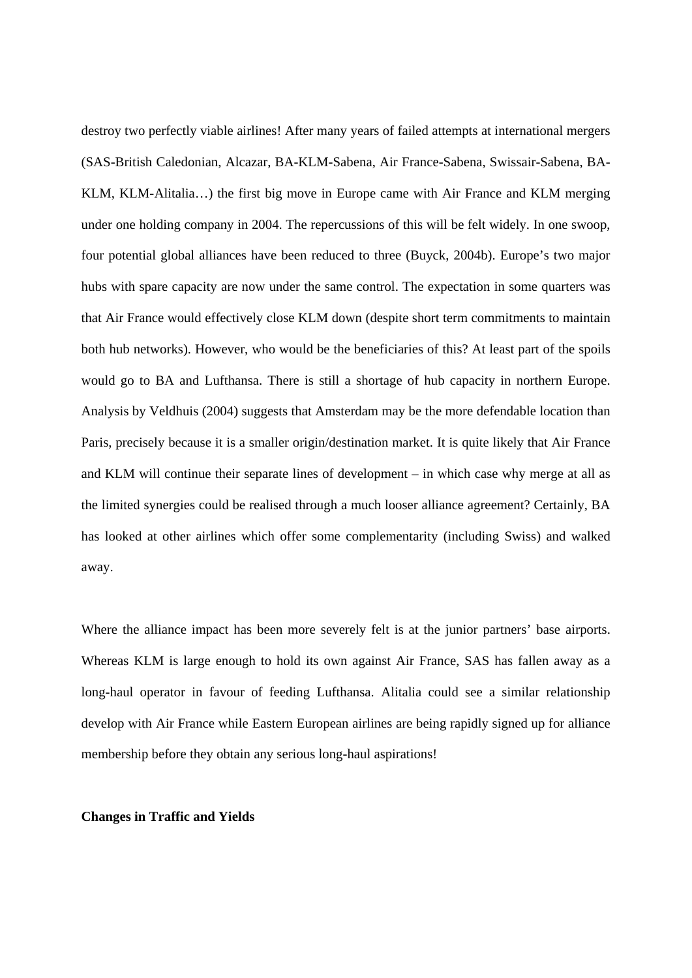destroy two perfectly viable airlines! After many years of failed attempts at international mergers (SAS-British Caledonian, Alcazar, BA-KLM-Sabena, Air France-Sabena, Swissair-Sabena, BA-KLM, KLM-Alitalia…) the first big move in Europe came with Air France and KLM merging under one holding company in 2004. The repercussions of this will be felt widely. In one swoop, four potential global alliances have been reduced to three (Buyck, 2004b). Europe's two major hubs with spare capacity are now under the same control. The expectation in some quarters was that Air France would effectively close KLM down (despite short term commitments to maintain both hub networks). However, who would be the beneficiaries of this? At least part of the spoils would go to BA and Lufthansa. There is still a shortage of hub capacity in northern Europe. Analysis by Veldhuis (2004) suggests that Amsterdam may be the more defendable location than Paris, precisely because it is a smaller origin/destination market. It is quite likely that Air France and KLM will continue their separate lines of development – in which case why merge at all as the limited synergies could be realised through a much looser alliance agreement? Certainly, BA has looked at other airlines which offer some complementarity (including Swiss) and walked away.

Where the alliance impact has been more severely felt is at the junior partners' base airports. Whereas KLM is large enough to hold its own against Air France, SAS has fallen away as a long-haul operator in favour of feeding Lufthansa. Alitalia could see a similar relationship develop with Air France while Eastern European airlines are being rapidly signed up for alliance membership before they obtain any serious long-haul aspirations!

#### **Changes in Traffic and Yields**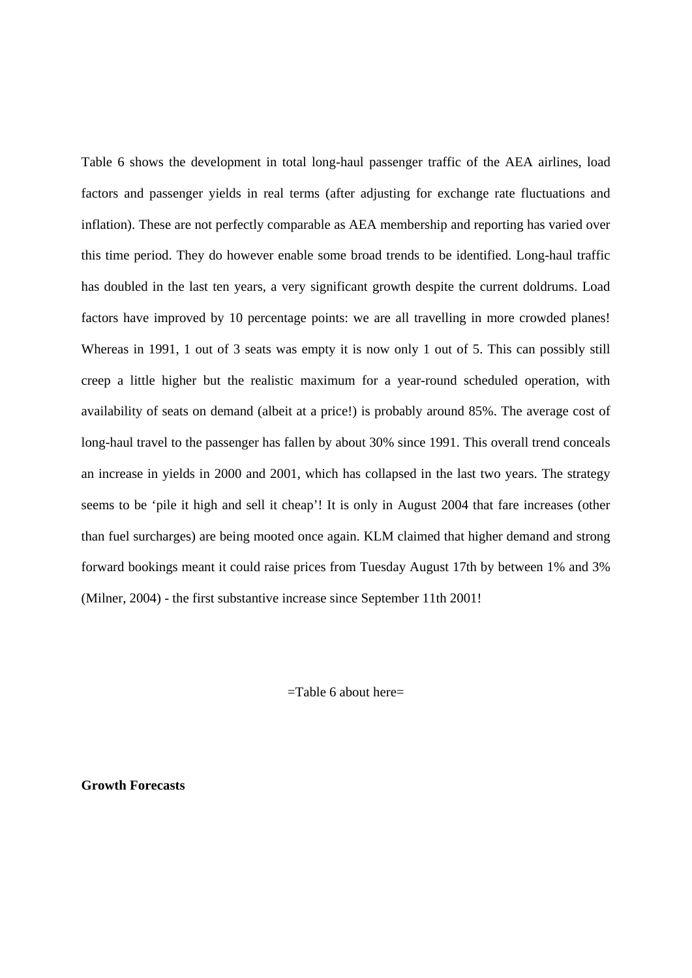Table 6 shows the development in total long-haul passenger traffic of the AEA airlines, load factors and passenger yields in real terms (after adjusting for exchange rate fluctuations and inflation). These are not perfectly comparable as AEA membership and reporting has varied over this time period. They do however enable some broad trends to be identified. Long-haul traffic has doubled in the last ten years, a very significant growth despite the current doldrums. Load factors have improved by 10 percentage points: we are all travelling in more crowded planes! Whereas in 1991, 1 out of 3 seats was empty it is now only 1 out of 5. This can possibly still creep a little higher but the realistic maximum for a year-round scheduled operation, with availability of seats on demand (albeit at a price!) is probably around 85%. The average cost of long-haul travel to the passenger has fallen by about 30% since 1991. This overall trend conceals an increase in yields in 2000 and 2001, which has collapsed in the last two years. The strategy seems to be 'pile it high and sell it cheap'! It is only in August 2004 that fare increases (other than fuel surcharges) are being mooted once again. KLM claimed that higher demand and strong forward bookings meant it could raise prices from Tuesday August 17th by between 1% and 3% (Milner, 2004) - the first substantive increase since September 11th 2001!

=Table 6 about here=

**Growth Forecasts**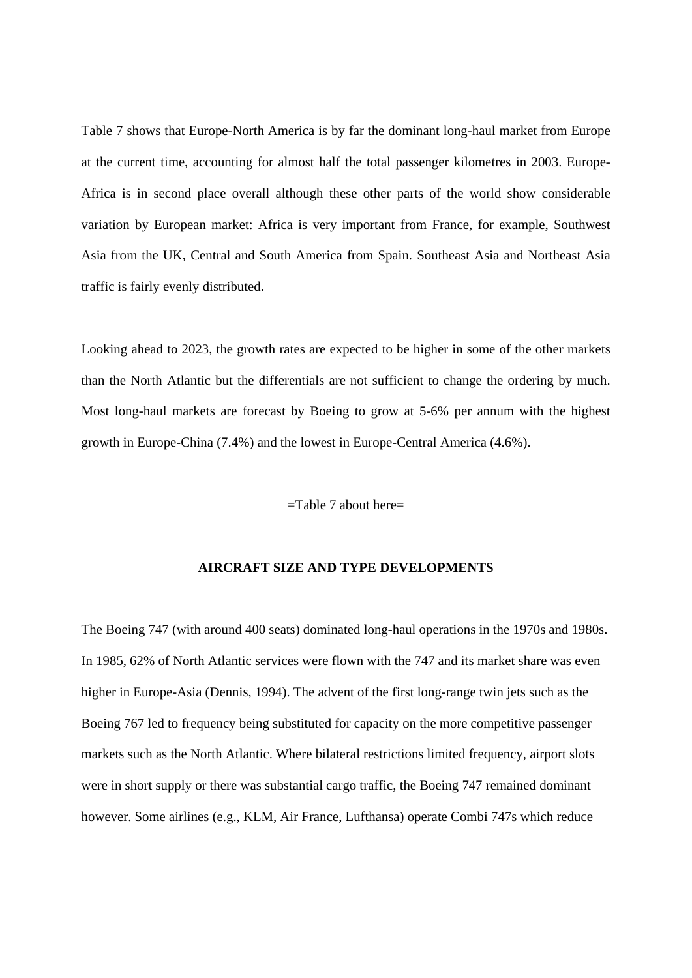Table 7 shows that Europe-North America is by far the dominant long-haul market from Europe at the current time, accounting for almost half the total passenger kilometres in 2003. Europe-Africa is in second place overall although these other parts of the world show considerable variation by European market: Africa is very important from France, for example, Southwest Asia from the UK, Central and South America from Spain. Southeast Asia and Northeast Asia traffic is fairly evenly distributed.

Looking ahead to 2023, the growth rates are expected to be higher in some of the other markets than the North Atlantic but the differentials are not sufficient to change the ordering by much. Most long-haul markets are forecast by Boeing to grow at 5-6% per annum with the highest growth in Europe-China (7.4%) and the lowest in Europe-Central America (4.6%).

#### $=$ Table 7 about here $=$

#### **AIRCRAFT SIZE AND TYPE DEVELOPMENTS**

The Boeing 747 (with around 400 seats) dominated long-haul operations in the 1970s and 1980s. In 1985, 62% of North Atlantic services were flown with the 747 and its market share was even higher in Europe-Asia (Dennis, 1994). The advent of the first long-range twin jets such as the Boeing 767 led to frequency being substituted for capacity on the more competitive passenger markets such as the North Atlantic. Where bilateral restrictions limited frequency, airport slots were in short supply or there was substantial cargo traffic, the Boeing 747 remained dominant however. Some airlines (e.g., KLM, Air France, Lufthansa) operate Combi 747s which reduce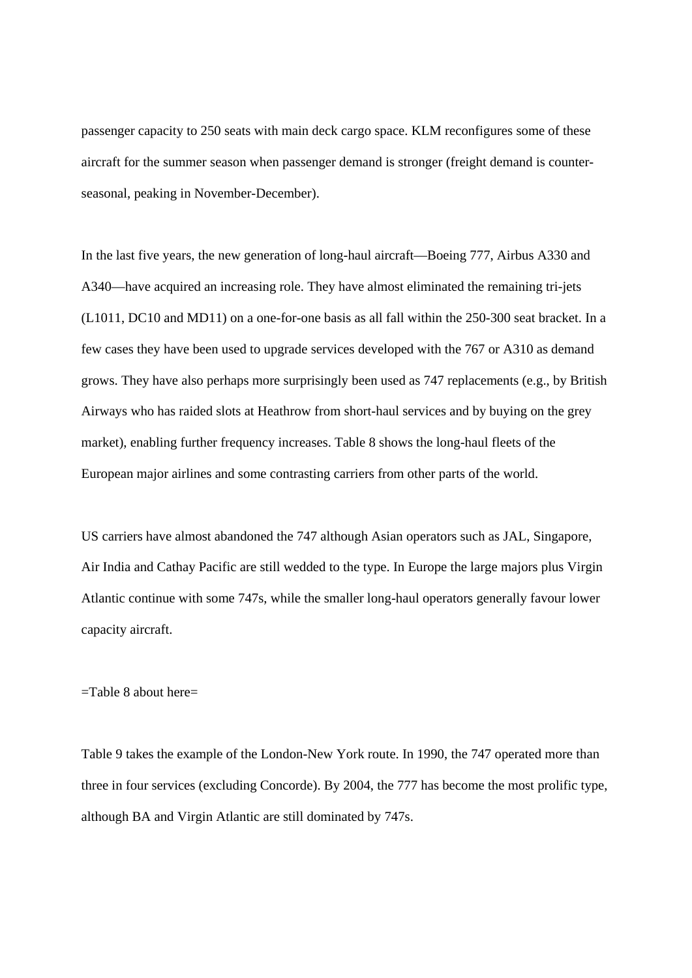passenger capacity to 250 seats with main deck cargo space. KLM reconfigures some of these aircraft for the summer season when passenger demand is stronger (freight demand is counterseasonal, peaking in November-December).

In the last five years, the new generation of long-haul aircraft—Boeing 777, Airbus A330 and A340—have acquired an increasing role. They have almost eliminated the remaining tri-jets (L1011, DC10 and MD11) on a one-for-one basis as all fall within the 250-300 seat bracket. In a few cases they have been used to upgrade services developed with the 767 or A310 as demand grows. They have also perhaps more surprisingly been used as 747 replacements (e.g., by British Airways who has raided slots at Heathrow from short-haul services and by buying on the grey market), enabling further frequency increases. Table 8 shows the long-haul fleets of the European major airlines and some contrasting carriers from other parts of the world.

US carriers have almost abandoned the 747 although Asian operators such as JAL, Singapore, Air India and Cathay Pacific are still wedded to the type. In Europe the large majors plus Virgin Atlantic continue with some 747s, while the smaller long-haul operators generally favour lower capacity aircraft.

#### =Table 8 about here=

Table 9 takes the example of the London-New York route. In 1990, the 747 operated more than three in four services (excluding Concorde). By 2004, the 777 has become the most prolific type, although BA and Virgin Atlantic are still dominated by 747s.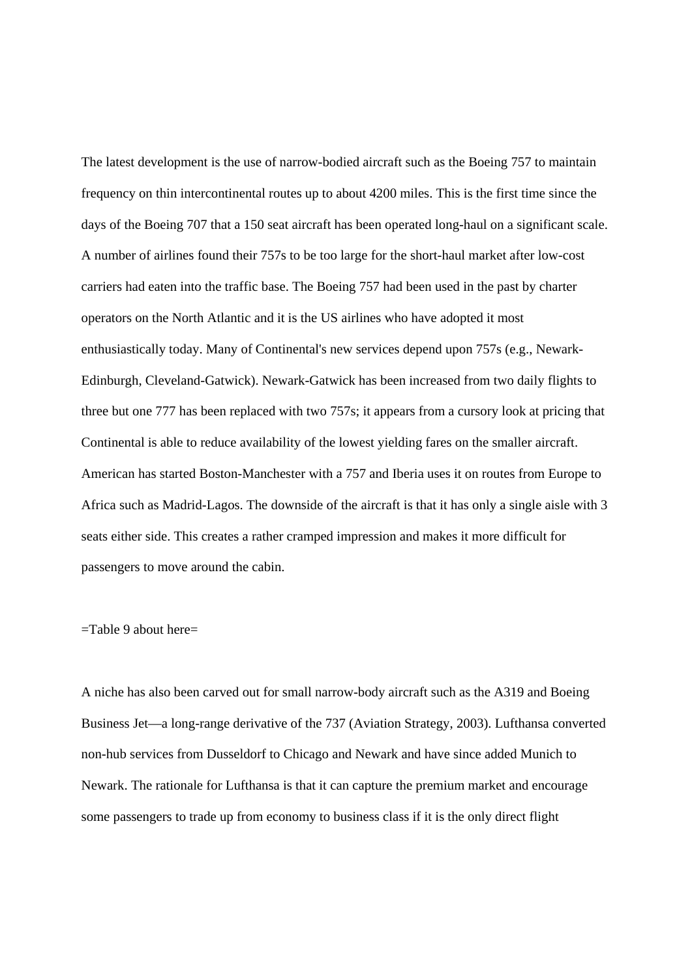The latest development is the use of narrow-bodied aircraft such as the Boeing 757 to maintain frequency on thin intercontinental routes up to about 4200 miles. This is the first time since the days of the Boeing 707 that a 150 seat aircraft has been operated long-haul on a significant scale. A number of airlines found their 757s to be too large for the short-haul market after low-cost carriers had eaten into the traffic base. The Boeing 757 had been used in the past by charter operators on the North Atlantic and it is the US airlines who have adopted it most enthusiastically today. Many of Continental's new services depend upon 757s (e.g., Newark-Edinburgh, Cleveland-Gatwick). Newark-Gatwick has been increased from two daily flights to three but one 777 has been replaced with two 757s; it appears from a cursory look at pricing that Continental is able to reduce availability of the lowest yielding fares on the smaller aircraft. American has started Boston-Manchester with a 757 and Iberia uses it on routes from Europe to Africa such as Madrid-Lagos. The downside of the aircraft is that it has only a single aisle with 3 seats either side. This creates a rather cramped impression and makes it more difficult for passengers to move around the cabin.

#### =Table 9 about here=

A niche has also been carved out for small narrow-body aircraft such as the A319 and Boeing Business Jet—a long-range derivative of the 737 (Aviation Strategy, 2003). Lufthansa converted non-hub services from Dusseldorf to Chicago and Newark and have since added Munich to Newark. The rationale for Lufthansa is that it can capture the premium market and encourage some passengers to trade up from economy to business class if it is the only direct flight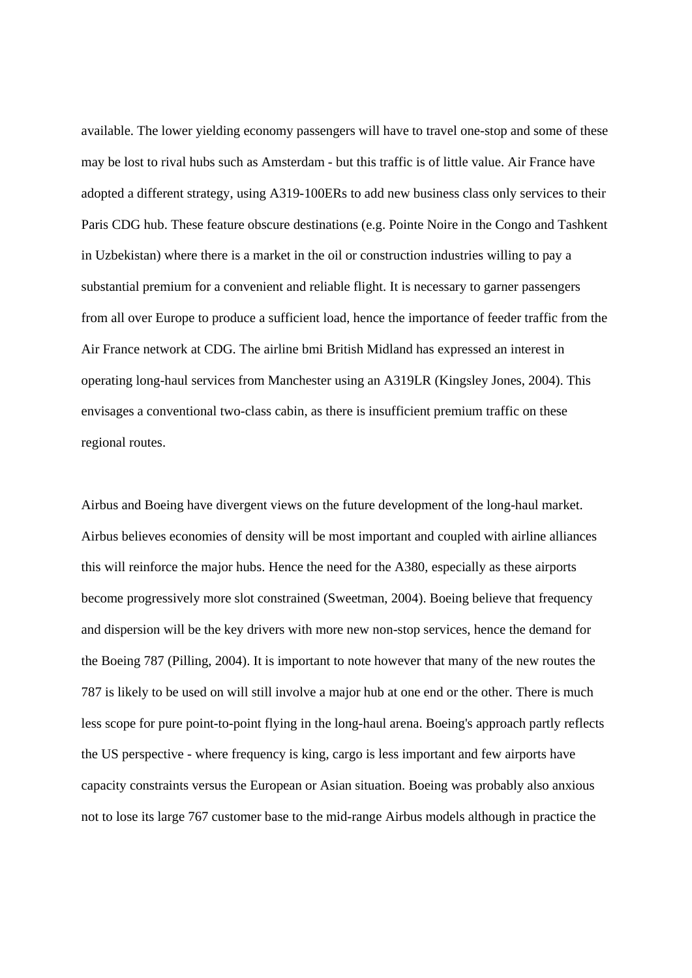available. The lower yielding economy passengers will have to travel one-stop and some of these may be lost to rival hubs such as Amsterdam - but this traffic is of little value. Air France have adopted a different strategy, using A319-100ERs to add new business class only services to their Paris CDG hub. These feature obscure destinations (e.g. Pointe Noire in the Congo and Tashkent in Uzbekistan) where there is a market in the oil or construction industries willing to pay a substantial premium for a convenient and reliable flight. It is necessary to garner passengers from all over Europe to produce a sufficient load, hence the importance of feeder traffic from the Air France network at CDG. The airline bmi British Midland has expressed an interest in operating long-haul services from Manchester using an A319LR (Kingsley Jones, 2004). This envisages a conventional two-class cabin, as there is insufficient premium traffic on these regional routes.

Airbus and Boeing have divergent views on the future development of the long-haul market. Airbus believes economies of density will be most important and coupled with airline alliances this will reinforce the major hubs. Hence the need for the A380, especially as these airports become progressively more slot constrained (Sweetman, 2004). Boeing believe that frequency and dispersion will be the key drivers with more new non-stop services, hence the demand for the Boeing 787 (Pilling, 2004). It is important to note however that many of the new routes the 787 is likely to be used on will still involve a major hub at one end or the other. There is much less scope for pure point-to-point flying in the long-haul arena. Boeing's approach partly reflects the US perspective - where frequency is king, cargo is less important and few airports have capacity constraints versus the European or Asian situation. Boeing was probably also anxious not to lose its large 767 customer base to the mid-range Airbus models although in practice the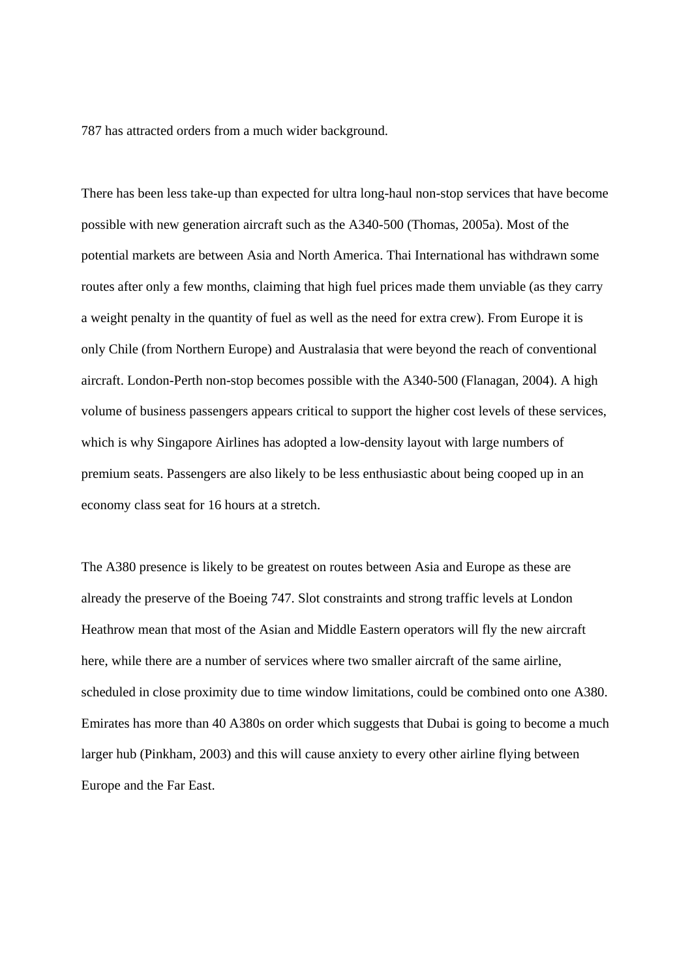787 has attracted orders from a much wider background.

There has been less take-up than expected for ultra long-haul non-stop services that have become possible with new generation aircraft such as the A340-500 (Thomas, 2005a). Most of the potential markets are between Asia and North America. Thai International has withdrawn some routes after only a few months, claiming that high fuel prices made them unviable (as they carry a weight penalty in the quantity of fuel as well as the need for extra crew). From Europe it is only Chile (from Northern Europe) and Australasia that were beyond the reach of conventional aircraft. London-Perth non-stop becomes possible with the A340-500 (Flanagan, 2004). A high volume of business passengers appears critical to support the higher cost levels of these services, which is why Singapore Airlines has adopted a low-density layout with large numbers of premium seats. Passengers are also likely to be less enthusiastic about being cooped up in an economy class seat for 16 hours at a stretch.

The A380 presence is likely to be greatest on routes between Asia and Europe as these are already the preserve of the Boeing 747. Slot constraints and strong traffic levels at London Heathrow mean that most of the Asian and Middle Eastern operators will fly the new aircraft here, while there are a number of services where two smaller aircraft of the same airline, scheduled in close proximity due to time window limitations, could be combined onto one A380. Emirates has more than 40 A380s on order which suggests that Dubai is going to become a much larger hub (Pinkham, 2003) and this will cause anxiety to every other airline flying between Europe and the Far East.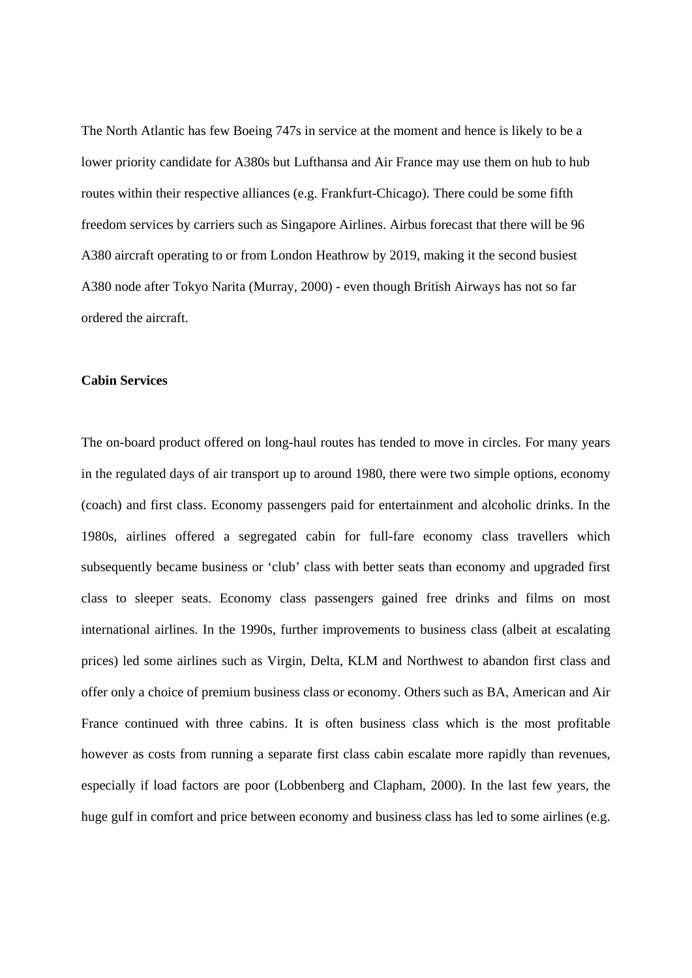The North Atlantic has few Boeing 747s in service at the moment and hence is likely to be a lower priority candidate for A380s but Lufthansa and Air France may use them on hub to hub routes within their respective alliances (e.g. Frankfurt-Chicago). There could be some fifth freedom services by carriers such as Singapore Airlines. Airbus forecast that there will be 96 A380 aircraft operating to or from London Heathrow by 2019, making it the second busiest A380 node after Tokyo Narita (Murray, 2000) - even though British Airways has not so far ordered the aircraft.

#### **Cabin Services**

The on-board product offered on long-haul routes has tended to move in circles. For many years in the regulated days of air transport up to around 1980, there were two simple options, economy (coach) and first class. Economy passengers paid for entertainment and alcoholic drinks. In the 1980s, airlines offered a segregated cabin for full-fare economy class travellers which subsequently became business or 'club' class with better seats than economy and upgraded first class to sleeper seats. Economy class passengers gained free drinks and films on most international airlines. In the 1990s, further improvements to business class (albeit at escalating prices) led some airlines such as Virgin, Delta, KLM and Northwest to abandon first class and offer only a choice of premium business class or economy. Others such as BA, American and Air France continued with three cabins. It is often business class which is the most profitable however as costs from running a separate first class cabin escalate more rapidly than revenues, especially if load factors are poor (Lobbenberg and Clapham, 2000). In the last few years, the huge gulf in comfort and price between economy and business class has led to some airlines (e.g.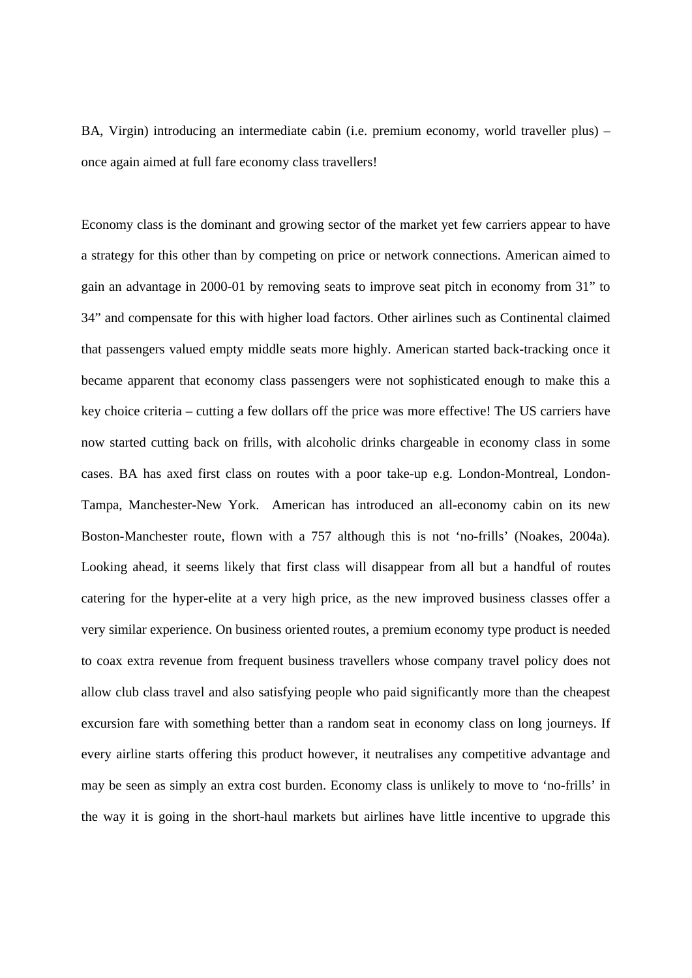BA, Virgin) introducing an intermediate cabin (i.e. premium economy, world traveller plus) – once again aimed at full fare economy class travellers!

Economy class is the dominant and growing sector of the market yet few carriers appear to have a strategy for this other than by competing on price or network connections. American aimed to gain an advantage in 2000-01 by removing seats to improve seat pitch in economy from 31" to 34" and compensate for this with higher load factors. Other airlines such as Continental claimed that passengers valued empty middle seats more highly. American started back-tracking once it became apparent that economy class passengers were not sophisticated enough to make this a key choice criteria – cutting a few dollars off the price was more effective! The US carriers have now started cutting back on frills, with alcoholic drinks chargeable in economy class in some cases. BA has axed first class on routes with a poor take-up e.g. London-Montreal, London-Tampa, Manchester-New York. American has introduced an all-economy cabin on its new Boston-Manchester route, flown with a 757 although this is not 'no-frills' (Noakes, 2004a). Looking ahead, it seems likely that first class will disappear from all but a handful of routes catering for the hyper-elite at a very high price, as the new improved business classes offer a very similar experience. On business oriented routes, a premium economy type product is needed to coax extra revenue from frequent business travellers whose company travel policy does not allow club class travel and also satisfying people who paid significantly more than the cheapest excursion fare with something better than a random seat in economy class on long journeys. If every airline starts offering this product however, it neutralises any competitive advantage and may be seen as simply an extra cost burden. Economy class is unlikely to move to 'no-frills' in the way it is going in the short-haul markets but airlines have little incentive to upgrade this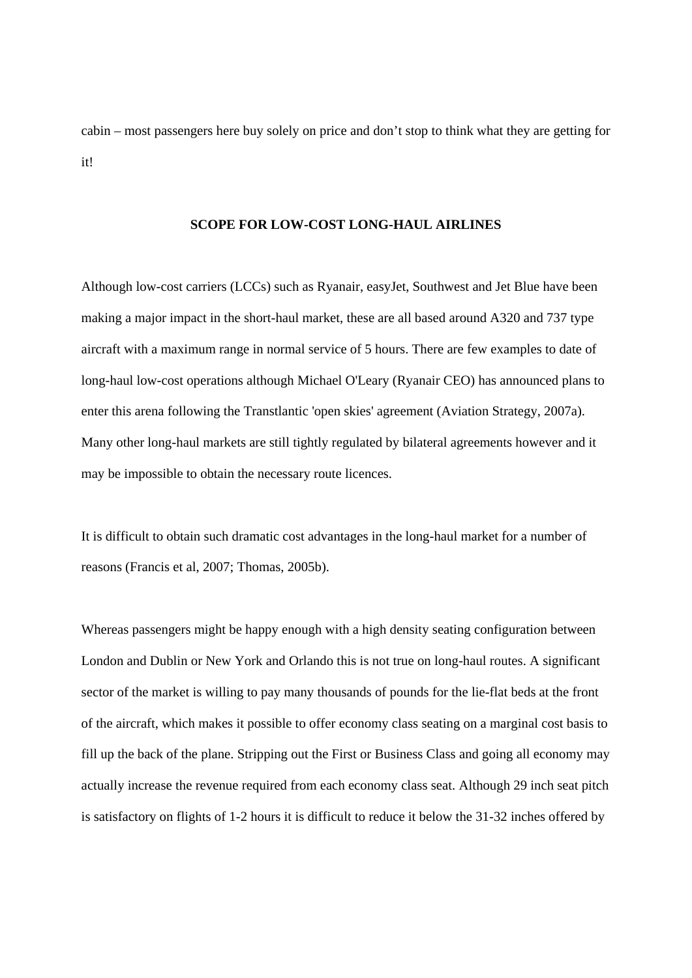cabin – most passengers here buy solely on price and don't stop to think what they are getting for it!

#### **SCOPE FOR LOW-COST LONG-HAUL AIRLINES**

Although low-cost carriers (LCCs) such as Ryanair, easyJet, Southwest and Jet Blue have been making a major impact in the short-haul market, these are all based around A320 and 737 type aircraft with a maximum range in normal service of 5 hours. There are few examples to date of long-haul low-cost operations although Michael O'Leary (Ryanair CEO) has announced plans to enter this arena following the Transtlantic 'open skies' agreement (Aviation Strategy, 2007a). Many other long-haul markets are still tightly regulated by bilateral agreements however and it may be impossible to obtain the necessary route licences.

It is difficult to obtain such dramatic cost advantages in the long-haul market for a number of reasons (Francis et al, 2007; Thomas, 2005b).

Whereas passengers might be happy enough with a high density seating configuration between London and Dublin or New York and Orlando this is not true on long-haul routes. A significant sector of the market is willing to pay many thousands of pounds for the lie-flat beds at the front of the aircraft, which makes it possible to offer economy class seating on a marginal cost basis to fill up the back of the plane. Stripping out the First or Business Class and going all economy may actually increase the revenue required from each economy class seat. Although 29 inch seat pitch is satisfactory on flights of 1-2 hours it is difficult to reduce it below the 31-32 inches offered by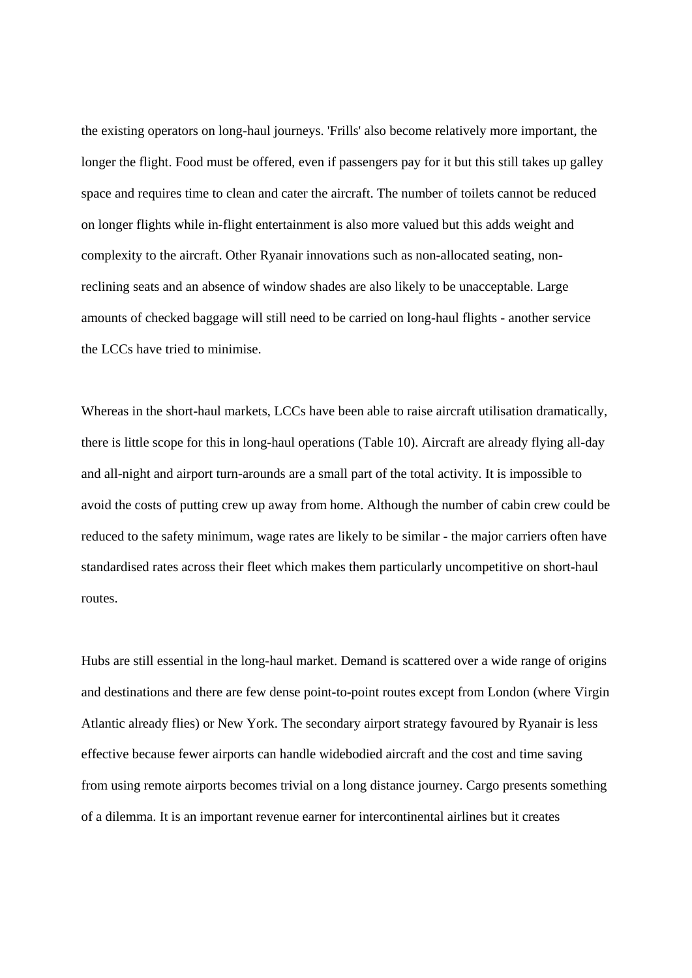the existing operators on long-haul journeys. 'Frills' also become relatively more important, the longer the flight. Food must be offered, even if passengers pay for it but this still takes up galley space and requires time to clean and cater the aircraft. The number of toilets cannot be reduced on longer flights while in-flight entertainment is also more valued but this adds weight and complexity to the aircraft. Other Ryanair innovations such as non-allocated seating, nonreclining seats and an absence of window shades are also likely to be unacceptable. Large amounts of checked baggage will still need to be carried on long-haul flights - another service the LCCs have tried to minimise.

Whereas in the short-haul markets, LCCs have been able to raise aircraft utilisation dramatically, there is little scope for this in long-haul operations (Table 10). Aircraft are already flying all-day and all-night and airport turn-arounds are a small part of the total activity. It is impossible to avoid the costs of putting crew up away from home. Although the number of cabin crew could be reduced to the safety minimum, wage rates are likely to be similar - the major carriers often have standardised rates across their fleet which makes them particularly uncompetitive on short-haul routes.

Hubs are still essential in the long-haul market. Demand is scattered over a wide range of origins and destinations and there are few dense point-to-point routes except from London (where Virgin Atlantic already flies) or New York. The secondary airport strategy favoured by Ryanair is less effective because fewer airports can handle widebodied aircraft and the cost and time saving from using remote airports becomes trivial on a long distance journey. Cargo presents something of a dilemma. It is an important revenue earner for intercontinental airlines but it creates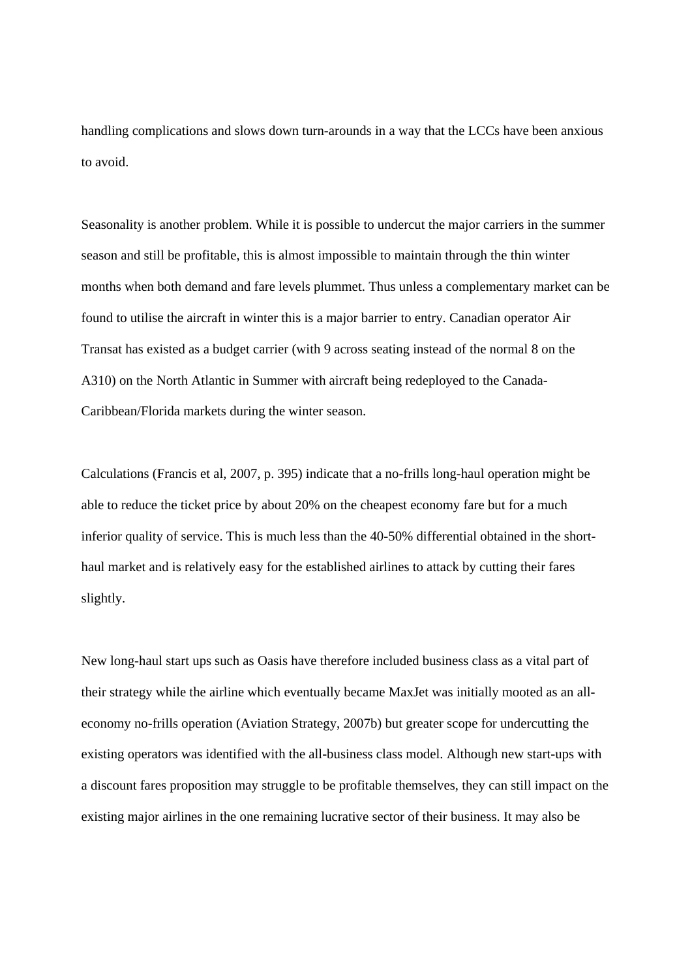handling complications and slows down turn-arounds in a way that the LCCs have been anxious to avoid.

Seasonality is another problem. While it is possible to undercut the major carriers in the summer season and still be profitable, this is almost impossible to maintain through the thin winter months when both demand and fare levels plummet. Thus unless a complementary market can be found to utilise the aircraft in winter this is a major barrier to entry. Canadian operator Air Transat has existed as a budget carrier (with 9 across seating instead of the normal 8 on the A310) on the North Atlantic in Summer with aircraft being redeployed to the Canada-Caribbean/Florida markets during the winter season.

Calculations (Francis et al, 2007, p. 395) indicate that a no-frills long-haul operation might be able to reduce the ticket price by about 20% on the cheapest economy fare but for a much inferior quality of service. This is much less than the 40-50% differential obtained in the shorthaul market and is relatively easy for the established airlines to attack by cutting their fares slightly.

New long-haul start ups such as Oasis have therefore included business class as a vital part of their strategy while the airline which eventually became MaxJet was initially mooted as an alleconomy no-frills operation (Aviation Strategy, 2007b) but greater scope for undercutting the existing operators was identified with the all-business class model. Although new start-ups with a discount fares proposition may struggle to be profitable themselves, they can still impact on the existing major airlines in the one remaining lucrative sector of their business. It may also be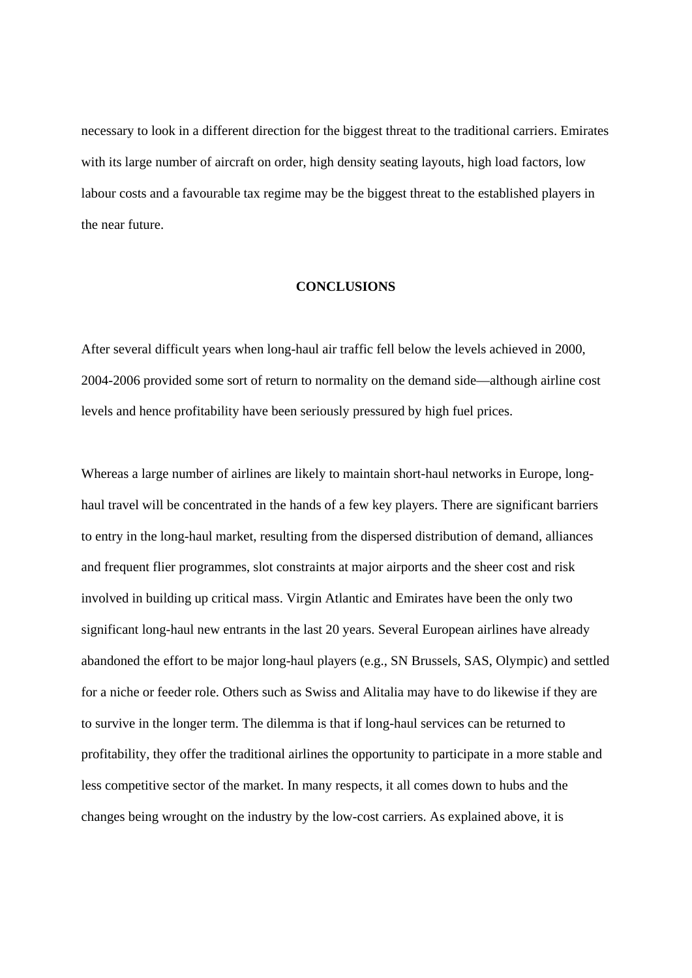necessary to look in a different direction for the biggest threat to the traditional carriers. Emirates with its large number of aircraft on order, high density seating layouts, high load factors, low labour costs and a favourable tax regime may be the biggest threat to the established players in the near future.

#### **CONCLUSIONS**

After several difficult years when long-haul air traffic fell below the levels achieved in 2000, 2004-2006 provided some sort of return to normality on the demand side—although airline cost levels and hence profitability have been seriously pressured by high fuel prices.

Whereas a large number of airlines are likely to maintain short-haul networks in Europe, longhaul travel will be concentrated in the hands of a few key players. There are significant barriers to entry in the long-haul market, resulting from the dispersed distribution of demand, alliances and frequent flier programmes, slot constraints at major airports and the sheer cost and risk involved in building up critical mass. Virgin Atlantic and Emirates have been the only two significant long-haul new entrants in the last 20 years. Several European airlines have already abandoned the effort to be major long-haul players (e.g., SN Brussels, SAS, Olympic) and settled for a niche or feeder role. Others such as Swiss and Alitalia may have to do likewise if they are to survive in the longer term. The dilemma is that if long-haul services can be returned to profitability, they offer the traditional airlines the opportunity to participate in a more stable and less competitive sector of the market. In many respects, it all comes down to hubs and the changes being wrought on the industry by the low-cost carriers. As explained above, it is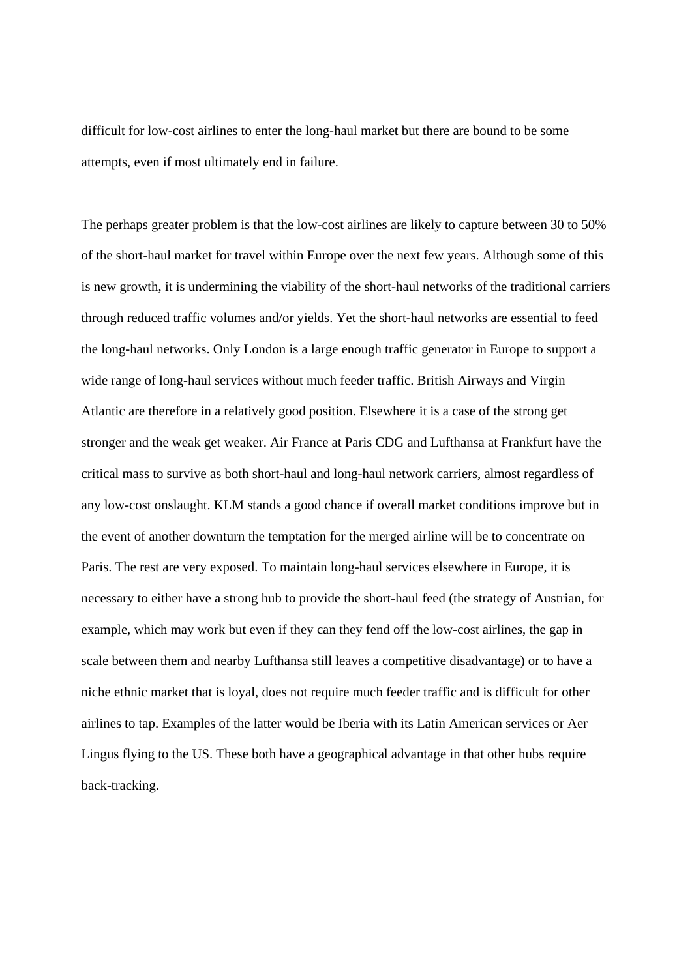difficult for low-cost airlines to enter the long-haul market but there are bound to be some attempts, even if most ultimately end in failure.

The perhaps greater problem is that the low-cost airlines are likely to capture between 30 to 50% of the short-haul market for travel within Europe over the next few years. Although some of this is new growth, it is undermining the viability of the short-haul networks of the traditional carriers through reduced traffic volumes and/or yields. Yet the short-haul networks are essential to feed the long-haul networks. Only London is a large enough traffic generator in Europe to support a wide range of long-haul services without much feeder traffic. British Airways and Virgin Atlantic are therefore in a relatively good position. Elsewhere it is a case of the strong get stronger and the weak get weaker. Air France at Paris CDG and Lufthansa at Frankfurt have the critical mass to survive as both short-haul and long-haul network carriers, almost regardless of any low-cost onslaught. KLM stands a good chance if overall market conditions improve but in the event of another downturn the temptation for the merged airline will be to concentrate on Paris. The rest are very exposed. To maintain long-haul services elsewhere in Europe, it is necessary to either have a strong hub to provide the short-haul feed (the strategy of Austrian, for example, which may work but even if they can they fend off the low-cost airlines, the gap in scale between them and nearby Lufthansa still leaves a competitive disadvantage) or to have a niche ethnic market that is loyal, does not require much feeder traffic and is difficult for other airlines to tap. Examples of the latter would be Iberia with its Latin American services or Aer Lingus flying to the US. These both have a geographical advantage in that other hubs require back-tracking.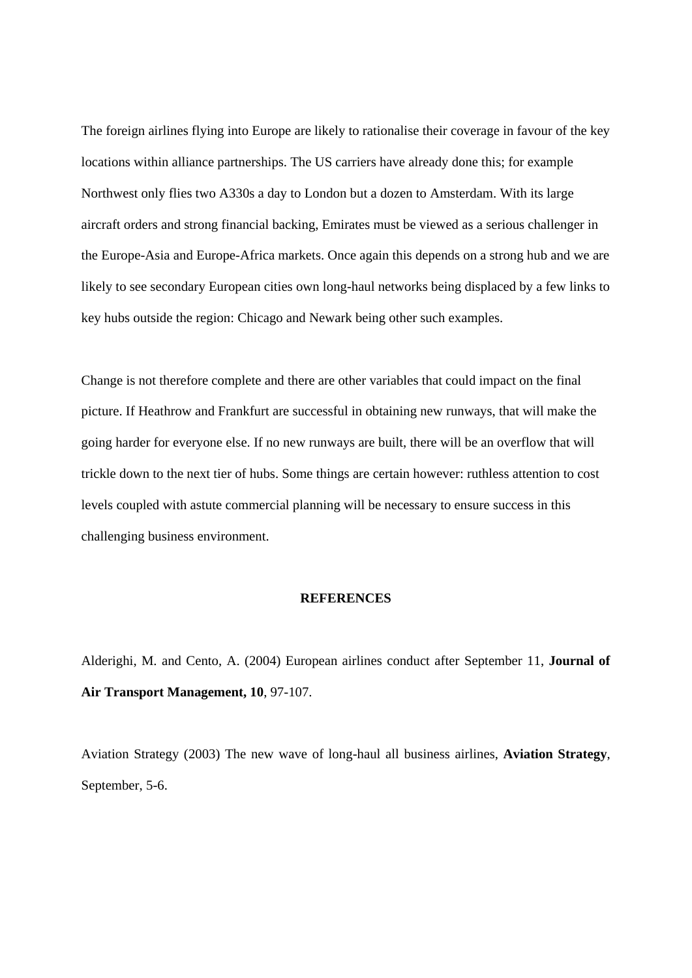The foreign airlines flying into Europe are likely to rationalise their coverage in favour of the key locations within alliance partnerships. The US carriers have already done this; for example Northwest only flies two A330s a day to London but a dozen to Amsterdam. With its large aircraft orders and strong financial backing, Emirates must be viewed as a serious challenger in the Europe-Asia and Europe-Africa markets. Once again this depends on a strong hub and we are likely to see secondary European cities own long-haul networks being displaced by a few links to key hubs outside the region: Chicago and Newark being other such examples.

Change is not therefore complete and there are other variables that could impact on the final picture. If Heathrow and Frankfurt are successful in obtaining new runways, that will make the going harder for everyone else. If no new runways are built, there will be an overflow that will trickle down to the next tier of hubs. Some things are certain however: ruthless attention to cost levels coupled with astute commercial planning will be necessary to ensure success in this challenging business environment.

#### **REFERENCES**

Alderighi, M. and Cento, A. (2004) European airlines conduct after September 11, **Journal of Air Transport Management, 10**, 97-107.

Aviation Strategy (2003) The new wave of long-haul all business airlines, **Aviation Strategy**, September, 5-6.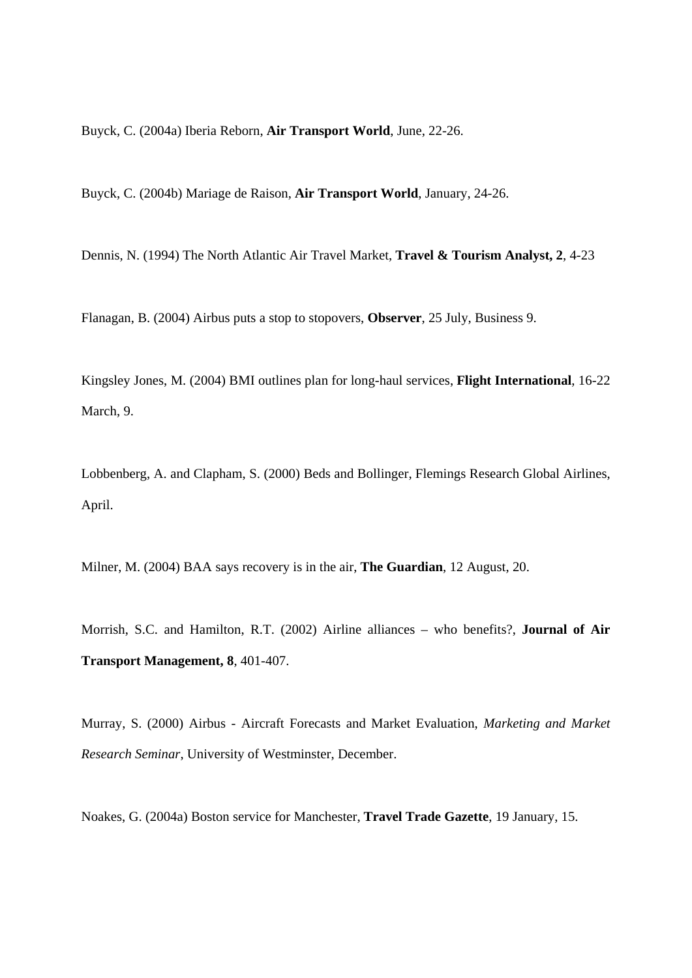Buyck, C. (2004a) Iberia Reborn, **Air Transport World**, June, 22-26.

Buyck, C. (2004b) Mariage de Raison, **Air Transport World**, January, 24-26.

Dennis, N. (1994) The North Atlantic Air Travel Market, **Travel & Tourism Analyst, 2**, 4-23

Flanagan, B. (2004) Airbus puts a stop to stopovers, **Observer**, 25 July, Business 9.

Kingsley Jones, M. (2004) BMI outlines plan for long-haul services, **Flight International**, 16-22 March, 9.

Lobbenberg, A. and Clapham, S. (2000) Beds and Bollinger, Flemings Research Global Airlines, April.

Milner, M. (2004) BAA says recovery is in the air, **The Guardian**, 12 August, 20.

Morrish, S.C. and Hamilton, R.T. (2002) Airline alliances – who benefits?, **Journal of Air Transport Management, 8**, 401-407.

Murray, S. (2000) Airbus - Aircraft Forecasts and Market Evaluation, *Marketing and Market Research Seminar*, University of Westminster, December.

Noakes, G. (2004a) Boston service for Manchester, **Travel Trade Gazette**, 19 January, 15.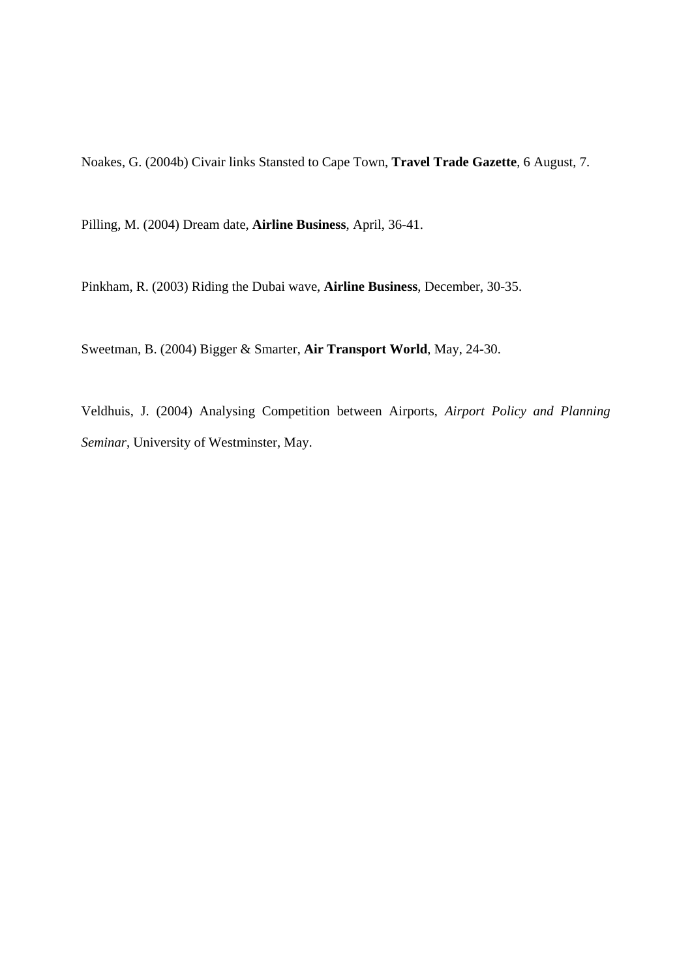Noakes, G. (2004b) Civair links Stansted to Cape Town, **Travel Trade Gazette**, 6 August, 7.

Pilling, M. (2004) Dream date, **Airline Business**, April, 36-41.

Pinkham, R. (2003) Riding the Dubai wave, **Airline Business**, December, 30-35.

Sweetman, B. (2004) Bigger & Smarter, **Air Transport World**, May, 24-30.

Veldhuis, J. (2004) Analysing Competition between Airports, *Airport Policy and Planning Seminar*, University of Westminster, May.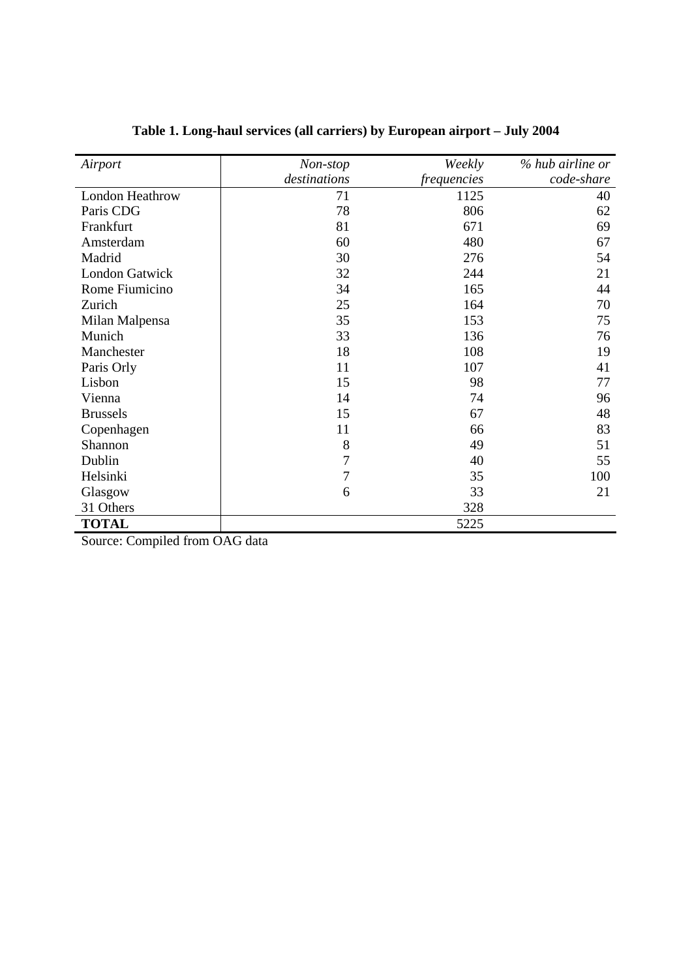| Airport                | Non-stop     | Weekly             | % hub airline or |
|------------------------|--------------|--------------------|------------------|
|                        | destinations | <i>frequencies</i> | code-share       |
| <b>London Heathrow</b> | 71           | 1125               | 40               |
| Paris CDG              | 78           | 806                | 62               |
| Frankfurt              | 81           | 671                | 69               |
| Amsterdam              | 60           | 480                | 67               |
| Madrid                 | 30           | 276                | 54               |
| <b>London Gatwick</b>  | 32           | 244                | 21               |
| Rome Fiumicino         | 34           | 165                | 44               |
| Zurich                 | 25           | 164                | 70               |
| Milan Malpensa         | 35           | 153                | 75               |
| Munich                 | 33           | 136                | 76               |
| Manchester             | 18           | 108                | 19               |
| Paris Orly             | 11           | 107                | 41               |
| Lisbon                 | 15           | 98                 | 77               |
| Vienna                 | 14           | 74                 | 96               |
| <b>Brussels</b>        | 15           | 67                 | 48               |
| Copenhagen             | 11           | 66                 | 83               |
| Shannon                | 8            | 49                 | 51               |
| Dublin                 | 7            | 40                 | 55               |
| Helsinki               | 7            | 35                 | 100              |
| Glasgow                | 6            | 33                 | 21               |
| 31 Others              |              | 328                |                  |
| <b>TOTAL</b>           |              | 5225               |                  |

# **Table 1. Long-haul services (all carriers) by European airport – July 2004**

Source: Compiled from OAG data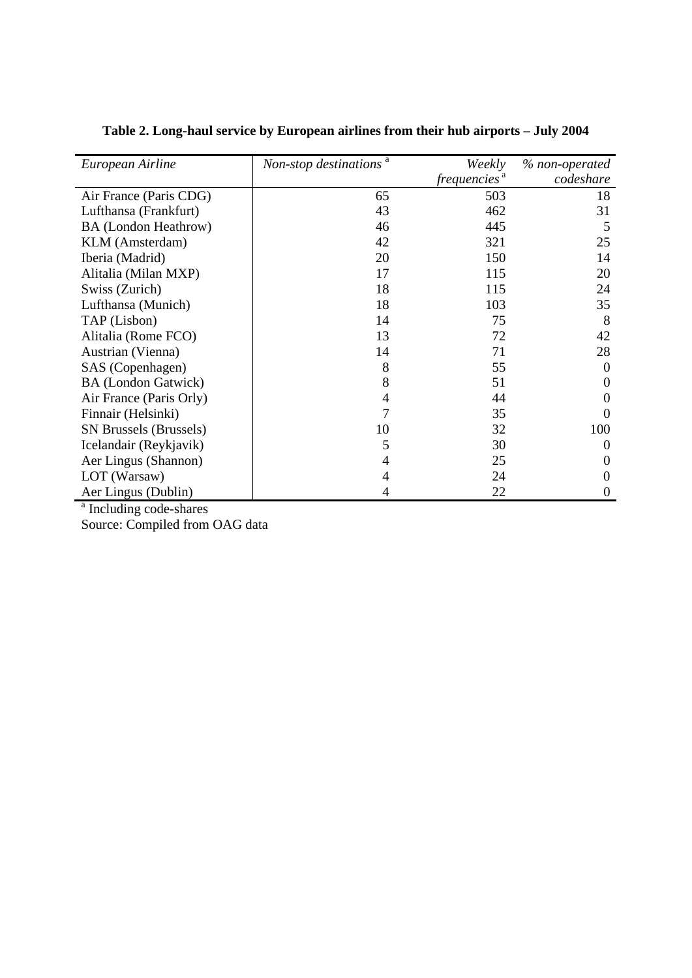| European Airline              | Non-stop destinations <sup>a</sup> | Weekly<br>frequencies <sup>a</sup> | % non-operated<br>codeshare |
|-------------------------------|------------------------------------|------------------------------------|-----------------------------|
|                               |                                    |                                    |                             |
| Air France (Paris CDG)        | 65                                 | 503                                | 18                          |
| Lufthansa (Frankfurt)         | 43                                 | 462                                | 31                          |
| <b>BA</b> (London Heathrow)   | 46                                 | 445                                | 5                           |
| KLM (Amsterdam)               | 42                                 | 321                                | 25                          |
| Iberia (Madrid)               | 20                                 | 150                                | 14                          |
| Alitalia (Milan MXP)          | 17                                 | 115                                | 20                          |
| Swiss (Zurich)                | 18                                 | 115                                | 24                          |
| Lufthansa (Munich)            | 18                                 | 103                                | 35                          |
| TAP (Lisbon)                  | 14                                 | 75                                 | 8                           |
| Alitalia (Rome FCO)           | 13                                 | 72                                 | 42                          |
| Austrian (Vienna)             | 14                                 | 71                                 | 28                          |
| SAS (Copenhagen)              | 8                                  | 55                                 | 0                           |
| <b>BA</b> (London Gatwick)    | 8                                  | 51                                 | $\Omega$                    |
| Air France (Paris Orly)       | $\overline{4}$                     | 44                                 |                             |
| Finnair (Helsinki)            | 7                                  | 35                                 | $_{0}$                      |
| <b>SN Brussels (Brussels)</b> | 10                                 | 32                                 | 100                         |
| Icelandair (Reykjavik)        | 5                                  | 30                                 | $\theta$                    |
| Aer Lingus (Shannon)          | 4                                  | 25                                 | 0                           |
| LOT (Warsaw)                  | 4                                  | 24                                 | 0                           |
| Aer Lingus (Dublin)           |                                    | 22                                 | 0                           |

**Table 2. Long-haul service by European airlines from their hub airports – July 2004** 

<sup>a</sup> Including code-shares

Source: Compiled from OAG data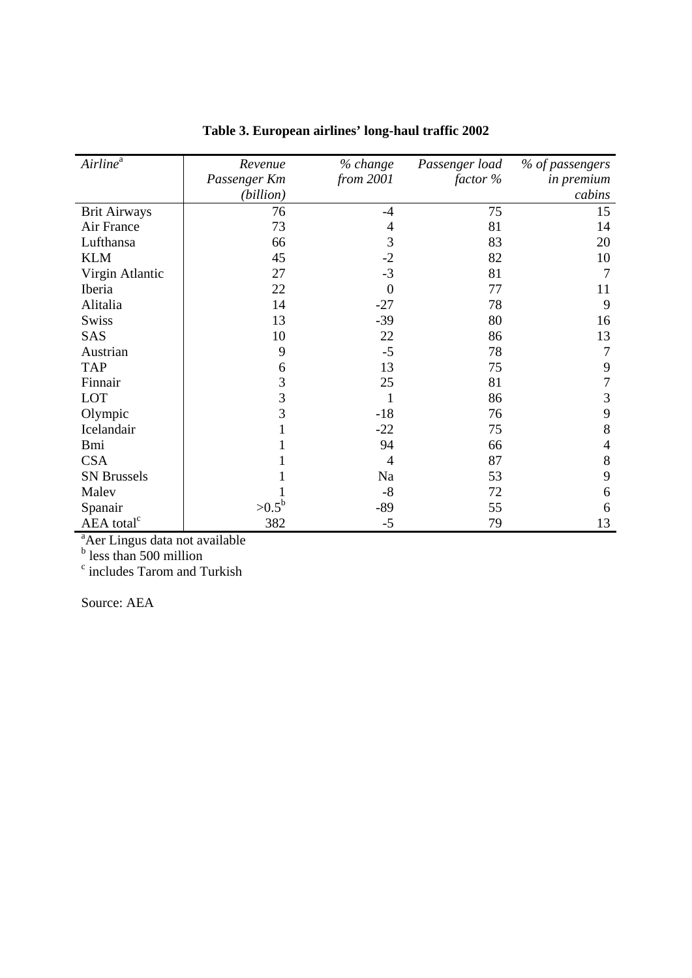| $Airline^a$            | Revenue        | % change  | Passenger load | % of passengers   |
|------------------------|----------------|-----------|----------------|-------------------|
|                        | Passenger Km   | from 2001 | factor %       | <i>in premium</i> |
|                        | (billion)      |           |                | cabins            |
| <b>Brit Airways</b>    | 76             | $-4$      | 75             | 15                |
| Air France             | 73             | 4         | 81             | 14                |
| Lufthansa              | 66             | 3         | 83             | 20                |
| <b>KLM</b>             | 45             | $-2$      | 82             | 10                |
| Virgin Atlantic        | 27             | $-3$      | 81             | 7                 |
| Iberia                 | 22             | $\Omega$  | 77             | 11                |
| Alitalia               | 14             | $-27$     | 78             | 9                 |
| <b>Swiss</b>           | 13             | $-39$     | 80             | 16                |
| <b>SAS</b>             | 10             | 22        | 86             | 13                |
| Austrian               | 9              | $-5$      | 78             | 7                 |
| <b>TAP</b>             | 6              | 13        | 75             | 9                 |
| Finnair                | 3              | 25        | 81             |                   |
| LOT                    | 3              |           | 86             | 3                 |
| Olympic                | $\overline{3}$ | $-18$     | 76             | 9                 |
| Icelandair             |                | $-22$     | 75             | 8                 |
| <b>Bmi</b>             |                | 94        | 66             | 4                 |
| <b>CSA</b>             |                | 4         | 87             | 8                 |
| <b>SN</b> Brussels     |                | Na        | 53             | 9                 |
| Malev                  |                | $-8$      | 72             | 6                 |
| Spanair                | $>0.5^{\rm b}$ | $-89$     | 55             | 6                 |
| AEA total <sup>c</sup> | 382            | $-5$      | 79             | 13                |

**Table 3. European airlines' long-haul traffic 2002** 

<sup>a</sup>Aer Lingus data not available<br><sup>b</sup> less than 500 million<br><sup>c</sup> includes Tarom and Turkish

Source: AEA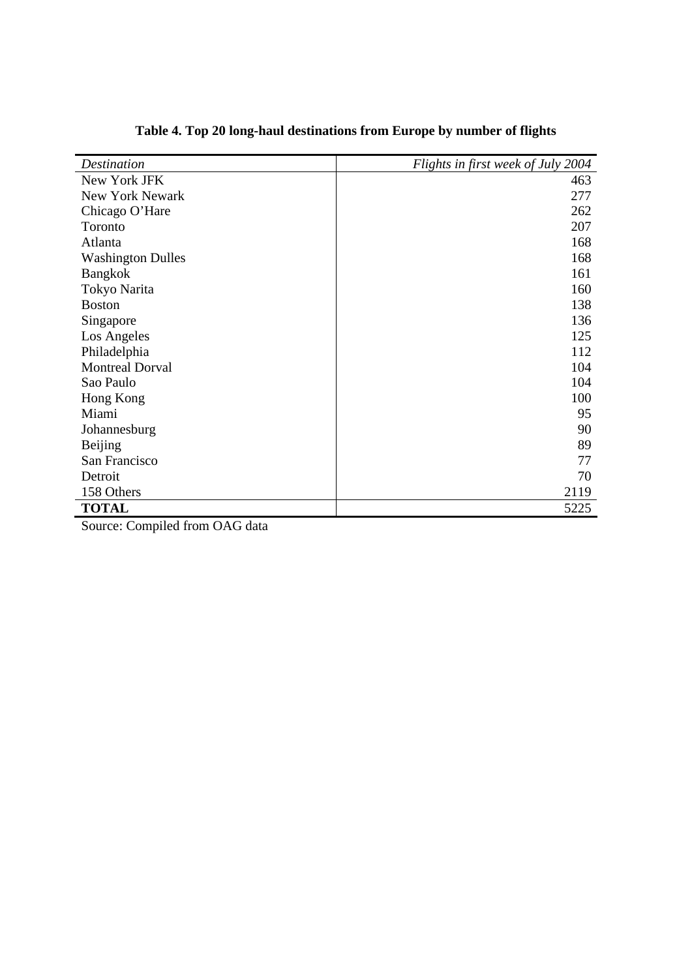| <b>Destination</b>       | Flights in first week of July 2004 |
|--------------------------|------------------------------------|
| New York JFK             | 463                                |
| <b>New York Newark</b>   | 277                                |
| Chicago O'Hare           | 262                                |
| Toronto                  | 207                                |
| Atlanta                  | 168                                |
| <b>Washington Dulles</b> | 168                                |
| <b>Bangkok</b>           | 161                                |
| Tokyo Narita             | 160                                |
| <b>Boston</b>            | 138                                |
| Singapore                | 136                                |
| Los Angeles              | 125                                |
| Philadelphia             | 112                                |
| <b>Montreal Dorval</b>   | 104                                |
| Sao Paulo                | 104                                |
| Hong Kong                | 100                                |
| Miami                    | 95                                 |
| Johannesburg             | 90                                 |
| Beijing                  | 89                                 |
| San Francisco            | 77                                 |
| Detroit                  | 70                                 |
| 158 Others               | 2119                               |
| <b>TOTAL</b>             | 5225                               |

# **Table 4. Top 20 long-haul destinations from Europe by number of flights**

Source: Compiled from OAG data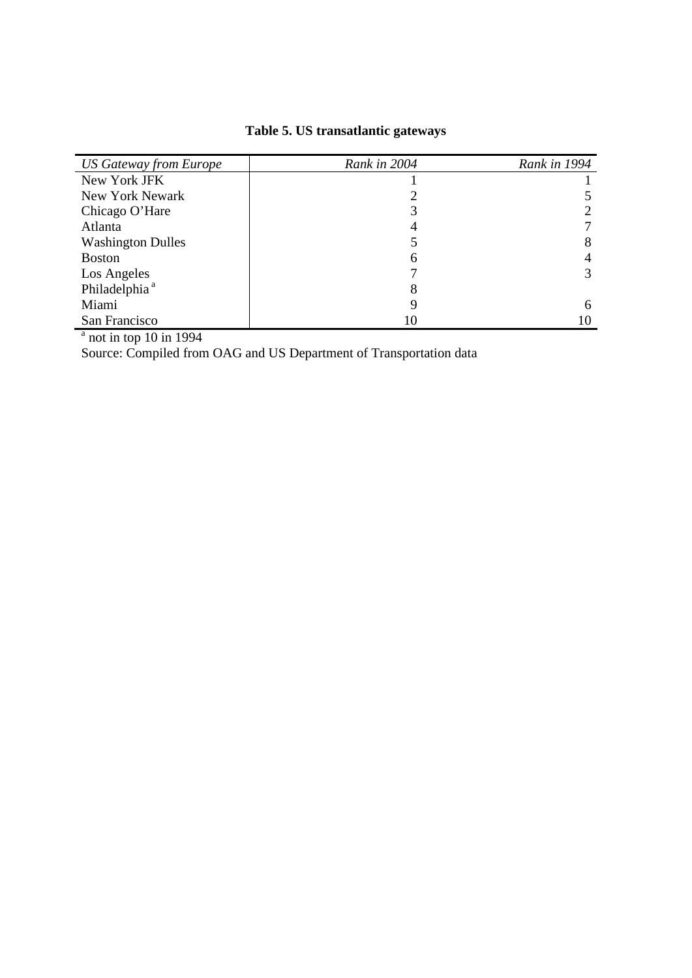# **Table 5. US transatlantic gateways**

| <b>US Gateway from Europe</b> | Rank in 2004 | Rank in 1994 |
|-------------------------------|--------------|--------------|
| New York JFK                  |              |              |
| New York Newark               |              |              |
| Chicago O'Hare                |              |              |
| Atlanta                       |              |              |
| <b>Washington Dulles</b>      |              | 8            |
| <b>Boston</b>                 | 6            | 4            |
| Los Angeles                   |              | 3            |
| Philadelphia <sup>a</sup>     | 8            |              |
| Miami                         | 9            | 6            |
| San Francisco                 | 10           |              |

 $a$  not in top 10 in 1994

Source: Compiled from OAG and US Department of Transportation data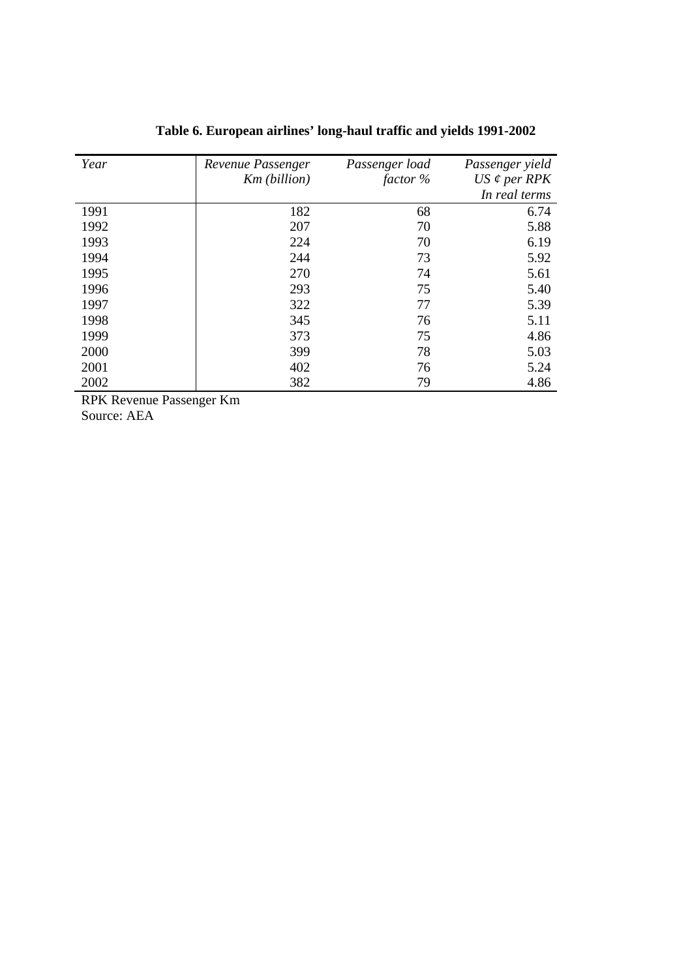| Year | Revenue Passenger | Passenger load | Passenger yield     |
|------|-------------------|----------------|---------------------|
|      | Km (billion)      | factor %       | $US \notin per RPK$ |
|      |                   |                | In real terms       |
| 1991 | 182               | 68             | 6.74                |
| 1992 | 207               | 70             | 5.88                |
| 1993 | 224               | 70             | 6.19                |
| 1994 | 244               | 73             | 5.92                |
| 1995 | 270               | 74             | 5.61                |
| 1996 | 293               | 75             | 5.40                |
| 1997 | 322               | 77             | 5.39                |
| 1998 | 345               | 76             | 5.11                |
| 1999 | 373               | 75             | 4.86                |
| 2000 | 399               | 78             | 5.03                |
| 2001 | 402               | 76             | 5.24                |
| 2002 | 382               | 79             | 4.86                |

# **Table 6. European airlines' long-haul traffic and yields 1991-2002**

RPK Revenue Passenger Km

Source: AEA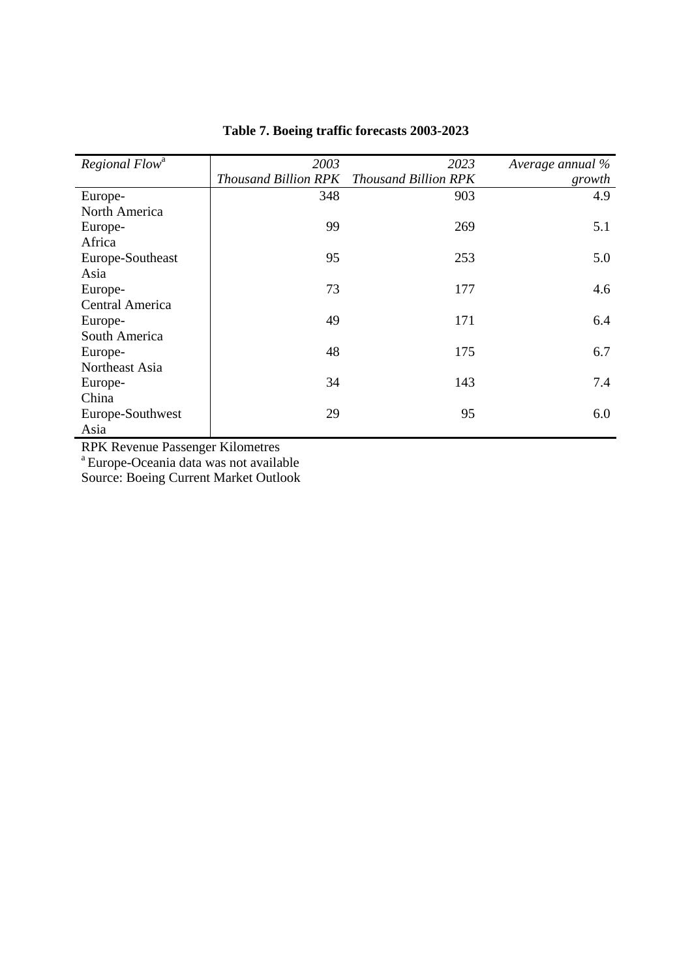| Regional Flow <sup>a</sup> | 2003                        | 2023                        | Average annual % |
|----------------------------|-----------------------------|-----------------------------|------------------|
|                            | <b>Thousand Billion RPK</b> | <b>Thousand Billion RPK</b> | growth           |
| Europe-                    | 348                         | 903                         | 4.9              |
| North America              |                             |                             |                  |
| Europe-                    | 99                          | 269                         | 5.1              |
| Africa                     |                             |                             |                  |
| Europe-Southeast           | 95                          | 253                         | 5.0              |
| Asia                       |                             |                             |                  |
| Europe-                    | 73                          | 177                         | 4.6              |
| <b>Central America</b>     |                             |                             |                  |
| Europe-                    | 49                          | 171                         | 6.4              |
| South America              |                             |                             |                  |
| Europe-                    | 48                          | 175                         | 6.7              |
| Northeast Asia             |                             |                             |                  |
| Europe-                    | 34                          | 143                         | 7.4              |
| China                      |                             |                             |                  |
| Europe-Southwest           | 29                          | 95                          | 6.0              |
| Asia                       |                             |                             |                  |

### **Table 7. Boeing traffic forecasts 2003-2023**

RPK Revenue Passenger Kilometres

<sup>a</sup> Europe-Oceania data was not available

Source: Boeing Current Market Outlook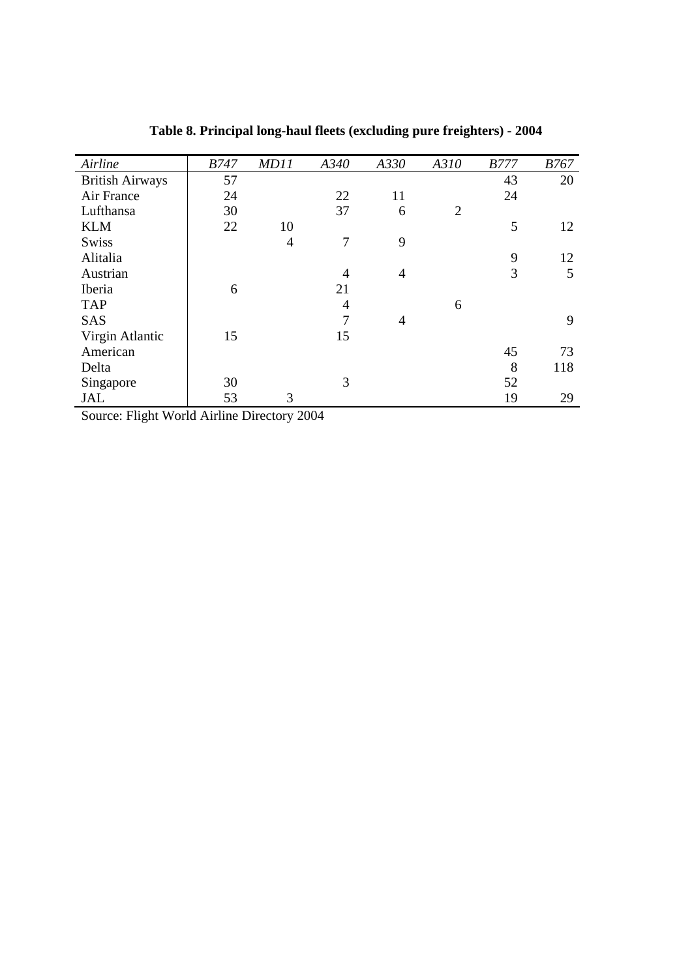| Airline                | <b>B747</b> | <b>MD11</b>    | A340           | A330           | A310           | <b>B777</b> | <i>B767</i> |
|------------------------|-------------|----------------|----------------|----------------|----------------|-------------|-------------|
| <b>British Airways</b> | 57          |                |                |                |                | 43          | 20          |
| Air France             | 24          |                | 22             | 11             |                | 24          |             |
| Lufthansa              | 30          |                | 37             | 6              | $\overline{2}$ |             |             |
| <b>KLM</b>             | 22          | 10             |                |                |                | 5           | 12          |
| <b>Swiss</b>           |             | $\overline{4}$ | 7              | 9              |                |             |             |
| Alitalia               |             |                |                |                |                | 9           | 12          |
| Austrian               |             |                | 4              | $\overline{4}$ |                | 3           | 5           |
| Iberia                 | 6           |                | 21             |                |                |             |             |
| <b>TAP</b>             |             |                | $\overline{4}$ |                | 6              |             |             |
| <b>SAS</b>             |             |                | 7              | 4              |                |             | 9           |
| Virgin Atlantic        | 15          |                | 15             |                |                |             |             |
| American               |             |                |                |                |                | 45          | 73          |
| Delta                  |             |                |                |                |                | 8           | 118         |
| Singapore              | 30          |                | 3              |                |                | 52          |             |
| <b>JAL</b>             | 53          | 3              |                |                |                | 19          | 29          |

**Table 8. Principal long-haul fleets (excluding pure freighters) - 2004** 

Source: Flight World Airline Directory 2004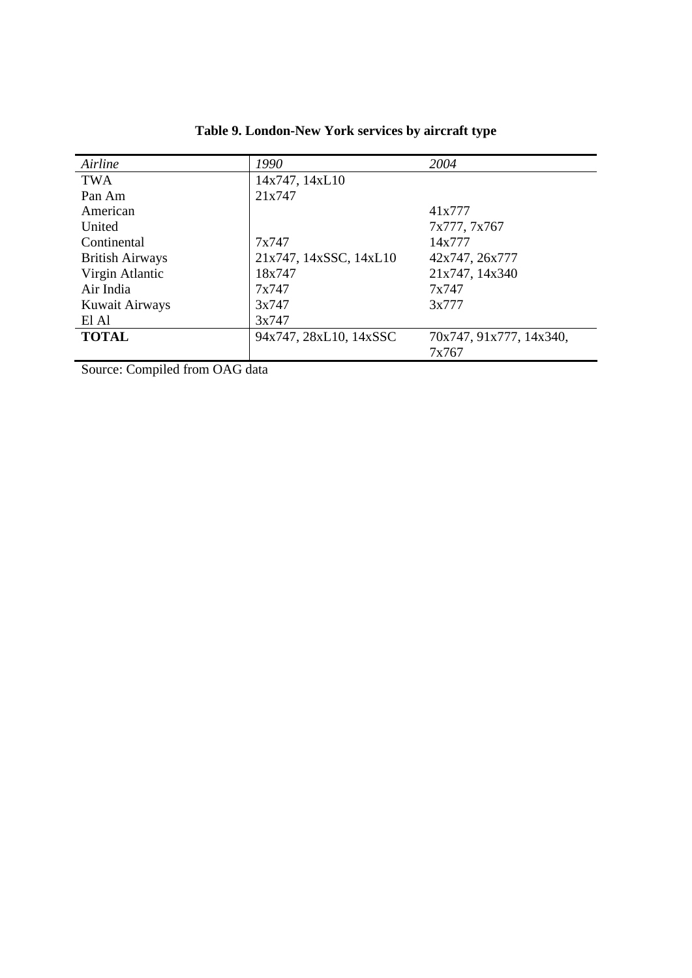| Airline                | 1990                   | 2004                    |
|------------------------|------------------------|-------------------------|
| <b>TWA</b>             | 14x747, 14xL10         |                         |
| Pan Am                 | 21x747                 |                         |
| American               |                        | 41x777                  |
| United                 |                        | 7x777, 7x767            |
| Continental            | 7x747                  | 14x777                  |
| <b>British Airways</b> | 21x747, 14xSSC, 14xL10 | 42x747, 26x777          |
| Virgin Atlantic        | 18x747                 | 21x747, 14x340          |
| Air India              | 7x747                  | 7x747                   |
| Kuwait Airways         | 3x747                  | 3x777                   |
| El Al                  | 3x747                  |                         |
| <b>TOTAL</b>           | 94x747, 28xL10, 14xSSC | 70x747, 91x777, 14x340, |
|                        |                        | 7x767                   |

**Table 9. London-New York services by aircraft type** 

Source: Compiled from OAG data